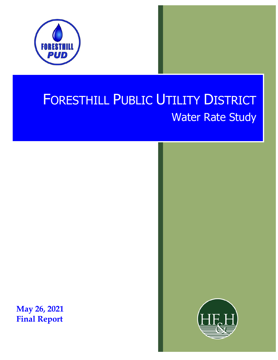

# FORESTHILL PUBLIC UTILITY DISTRICT Water Rate Study

**May 26, 2021 Final Report**

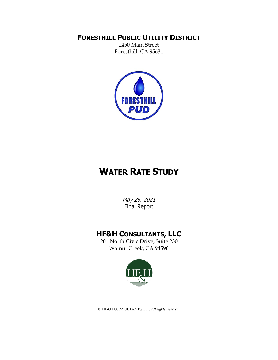#### **FORESTHILL PUBLIC UTILITY DISTRICT**

2450 Main Street Foresthill, CA 95631



## **WATER RATE STUDY**

May 26, 2021 Final Report

### **HF&H CONSULTANTS, LLC**

201 North Civic Drive, Suite 230 Walnut Creek, CA 94596



© HF&H CONSULTANTS, LLC *All rights reserved.*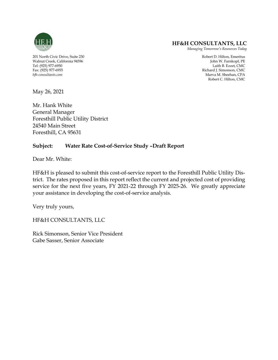

#### **HF&H CONSULTANTS, LLC**

*Managing Tomorrow's Resources Today*

*Marva M. Sheehan, CPA* Robert C. Hilton, CMC

201 North Civic Drive, Suite 230 Robert D. Hilton, Emeritus Walnut Creek, California 94596 John W. Farnkopf, PE Tel: (925) 977-6950 Laith B. Ezzet, CMC Fax: (925) 977-6955 Richard J. Simonson, CMC

May 26, 2021

Mr. Hank White General Manager Foresthill Public Utility District 24540 Main Street Foresthill, CA 95631

#### **Subject: Water Rate Cost-of-Service Study –Draft Report**

Dear Mr. White:

HF&H is pleased to submit this cost-of-service report to the Foresthill Public Utility District. The rates proposed in this report reflect the current and projected cost of providing service for the next five years, FY 2021-22 through FY 2025-26. We greatly appreciate your assistance in developing the cost-of-service analysis.

Very truly yours,

HF&H CONSULTANTS, LLC

Rick Simonson, Senior Vice President Gabe Sasser, Senior Associate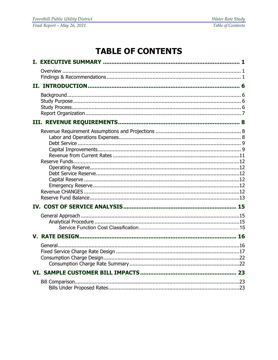## **TABLE OF CONTENTS**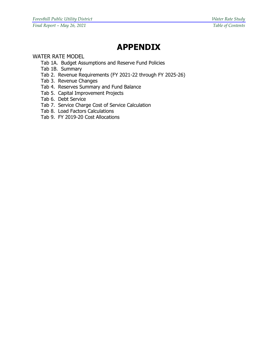## **APPENDIX**

#### WATER RATE MODEL

- Tab 1A. Budget Assumptions and Reserve Fund Policies
- Tab 1B. Summary
- Tab 2. Revenue Requirements (FY 2021-22 through FY 2025-26)
- Tab 3. Revenue Changes
- Tab 4. Reserves Summary and Fund Balance
- Tab 5. Capital Improvement Projects
- Tab 6. Debt Service
- Tab 7. Service Charge Cost of Service Calculation
- Tab 8. Load Factors Calculations
- Tab 9. FY 2019-20 Cost Allocations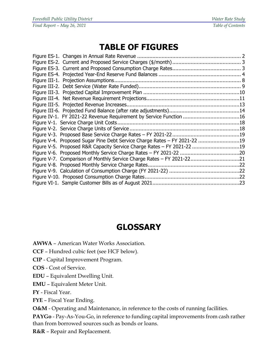## **TABLE OF FIGURES**

| Figure IV-1. FY 2021-22 Revenue Requirement by Service Function 16        |  |
|---------------------------------------------------------------------------|--|
|                                                                           |  |
|                                                                           |  |
|                                                                           |  |
| Figure V-4. Proposed Sugar Pine Debt Service Charge Rates – FY 2021-22 19 |  |
| Figure V-5. Proposed R&R Capacity Service Charge Rates - FY 2021-22 19    |  |
|                                                                           |  |
| Figure V-7. Comparison of Monthly Service Charge Rates - FY 2021-2221     |  |
|                                                                           |  |
|                                                                           |  |
|                                                                           |  |
|                                                                           |  |

## **GLOSSARY**

- **AWWA**  American Water Works Association.
- **CCF** Hundred cubic feet (see HCF below).
- **CIP** Capital Improvement Program.
- **COS** Cost of Service.
- **EDU** Equivalent Dwelling Unit.
- **EMU** Equivalent Meter Unit.
- **FY** Fiscal Year.
- **FYE**  Fiscal Year Ending.

**O&M** - Operating and Maintenance, in reference to the costs of running facilities.

**PAYGo** - Pay-As-You-Go, in reference to funding capital improvements from cash rather than from borrowed sources such as bonds or loans.

**R&R** – Repair and Replacement.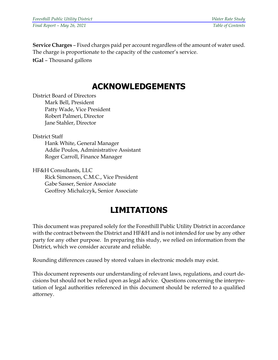**Service Charges** – Fixed charges paid per account regardless of the amount of water used. The charge is proportionate to the capacity of the customer's service.

**tGal** – Thousand gallons

## **ACKNOWLEDGEMENTS**

District Board of Directors Mark Bell, President Patty Wade, Vice President Robert Palmeri, Director Jane Stahler, Director

District Staff

Hank White, General Manager Addie Poulos, Administrative Assistant Roger Carroll, Finance Manager

HF&H Consultants, LLC Rick Simonson, C.M.C., Vice President Gabe Sasser, Senior Associate Geoffrey Michalczyk, Senior Associate

## **LIMITATIONS**

This document was prepared solely for the Foresthill Public Utility District in accordance with the contract between the District and HF&H and is not intended for use by any other party for any other purpose. In preparing this study, we relied on information from the District, which we consider accurate and reliable.

Rounding differences caused by stored values in electronic models may exist.

This document represents our understanding of relevant laws, regulations, and court decisions but should not be relied upon as legal advice. Questions concerning the interpretation of legal authorities referenced in this document should be referred to a qualified attorney.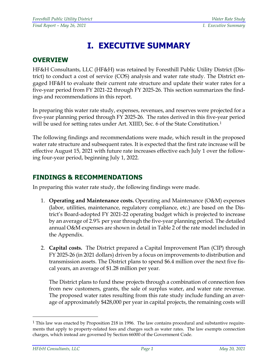## **I. EXECUTIVE SUMMARY**

### **OVERVIEW**

HF&H Consultants, LLC (HF&H) was retained by Foresthill Public Utility District (District) to conduct a cost of service (COS) analysis and water rate study. The District engaged HF&H to evaluate their current rate structure and update their water rates for a five-year period from FY 2021-22 through FY 2025-26. This section summarizes the findings and recommendations in this report.

In preparing this water rate study, expenses, revenues, and reserves were projected for a five-year planning period through FY 2025-26. The rates derived in this five-year period will be used for setting rates under Art. XIIID, Sec. 6 of the State Constitution.<sup>[1](#page-10-0)</sup>

The following findings and recommendations were made, which result in the proposed water rate structure and subsequent rates. It is expected that the first rate increase will be effective August 15, 2021 with future rate increases effective each July 1 over the following four-year period, beginning July 1, 2022.

#### **FINDINGS & RECOMMENDATIONS**

In preparing this water rate study, the following findings were made.

- 1. **Operating and Maintenance costs.** Operating and Maintenance (O&M) expenses (labor, utilities, maintenance, regulatory compliance, etc.) are based on the District's Board-adopted FY 2021-22 operating budget which is projected to increase by an average of 2.9% per year through the five-year planning period. The detailed annual O&M expenses are shown in detail in Table 2 of the rate model included in the Appendix.
- 2. **Capital costs.** The District prepared a Capital Improvement Plan (CIP) through FY 2025-26 (in 2021 dollars) driven by a focus on improvements to distribution and transmission assets. The District plans to spend \$6.4 million over the next five fiscal years, an average of \$1.28 million per year.

The District plans to fund these projects through a combination of connection fees from new customers, grants, the sale of surplus water, and water rate revenue. The proposed water rates resulting from this rate study include funding an average of approximately \$428,000 per year in capital projects, the remaining costs will

<span id="page-10-0"></span><sup>1</sup> This law was enacted by Proposition 218 in 1996. The law contains procedural and substantive requirements that apply to property-related fees and charges such as water rates. The law exempts connection charges, which instead are governed by Section 66000 of the Government Code.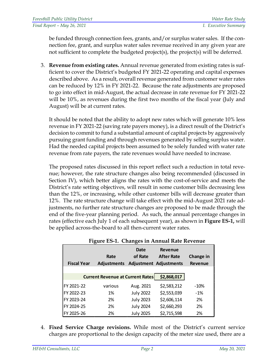be funded through connection fees, grants, and/or surplus water sales. If the connection fee, grant, and surplus water sales revenue received in any given year are not sufficient to complete the budgeted project(s), the project(s) will be deferred.

3. **Revenue from existing rates.** Annual revenue generated from existing rates is sufficient to cover the District's budgeted FY 2021-22 operating and capital expenses described above. As a result, overall revenue generated from customer water rates can be reduced by 12% in FY 2021-22. Because the rate adjustments are proposed to go into effect in mid-August, the actual decrease in rate revenue for FY 2021-22 will be 10%, as revenues during the first two months of the fiscal year (July and August) will be at current rates.

It should be noted that the ability to adopt new rates which will generate 10% less revenue in FY 2021-22 (saving rate payers money), is a direct result of the District's decision to commit to fund a substantial amount of capital projects by aggressively pursuing grant funding and through revenues generated by selling surplus water. Had the needed capital projects been assumed to be solely funded with water rate revenue from rate payers, the rate revenues would have needed to increase.

The proposed rates discussed in this report reflect such a reduction in total revenue; however, the rate structure changes also being recommended (discussed in Section IV), which better aligns the rates with the cost-of-service and meets the District's rate setting objectives, will result in some customer bills decreasing less than the 12%, or increasing, while other customer bills will decrease greater than 12%. The rate structure change will take effect with the mid-August 2021 rate adjustments, no further rate structure changes are proposed to be made through the end of the five-year planning period. As such, the annual percentage changes in rates (effective each July 1 of each subsequent year), as shown in **Figure ES-1,** will be applied across-the-board to all then-current water rates.

<span id="page-11-0"></span>

| <b>Fiscal Year</b> | Rate<br><b>Adjustments</b>              | <b>Date</b><br>of Rate | <b>Revenue</b><br><b>After Rate</b><br><b>Adjustment Adjustments</b> | Change in<br><b>Revenue</b> |
|--------------------|-----------------------------------------|------------------------|----------------------------------------------------------------------|-----------------------------|
|                    | <b>Current Revenue at Current Rates</b> |                        | \$2,868,017                                                          |                             |
| FY 2021-22         | various                                 | Aug. 2021              | \$2,583,212                                                          | $-10%$                      |
| FY 2022-23         | 1%                                      | <b>July 2022</b>       | \$2,553,039                                                          | $-1%$                       |
| FY 2023-24         | 2%                                      | <b>July 2023</b>       | \$2,606,114                                                          | 2%                          |
| FY 2024-25         | 2%                                      | <b>July 2024</b>       | \$2,660,293                                                          | 2%                          |
| FY 2025-26         | 2%                                      | <b>July 2025</b>       | \$2,715,598                                                          | 2%                          |

| Figure ES-1. Changes in Annual Rate Revenue |
|---------------------------------------------|
|                                             |

4. **Fixed Service Charge revisions.** While most of the District's current service charges are proportional to the design capacity of the meter size used, there are a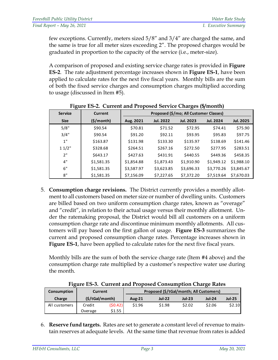| <b>Foresthill Public Utility District</b> | Water Rate Study     |
|-------------------------------------------|----------------------|
| Final Report - May 26, 2021               | I. Executive Summary |

few exceptions. Currently, meters sized 5/8" and 3/4" are charged the same, and the same is true for all meter sizes exceeding 2". The proposed charges would be graduated in proportion to the capacity of the service (i.e., meter-size).

A comparison of proposed and existing service charge rates is provided in **Figure ES-2**. The rate adjustment percentage increases shown in **Figure ES-1**, have been applied to calculate rates for the next five fiscal years. Monthly bills are the sum of both the fixed service charges and consumption charges multiplied according to usage (discussed in Item #5).

<span id="page-12-0"></span>

| <b>Service</b> | Current    | Proposed (\$/mo; All Customer Classes) |                  |                  |                  |                  |  |
|----------------|------------|----------------------------------------|------------------|------------------|------------------|------------------|--|
| <b>Size</b>    | (S/month)  | Aug. 2021                              | <b>Jul. 2022</b> | <b>Jul. 2023</b> | <b>Jul. 2024</b> | <b>Jul. 2025</b> |  |
| 5/8"           | \$90.54    | \$70.81                                | \$71.52          | \$72.95          | \$74.41          | \$75.90          |  |
| 3/4"           | \$90.54    | \$91.20                                | \$92.11          | \$93.95          | \$95.83          | \$97.75          |  |
| 1"             | \$163.87   | \$131.98                               | \$133.30         | \$135.97         | \$138.69         | \$141.46         |  |
| 11/2"          | \$328.68   | \$264.51                               | \$267.16         | \$272.50         | \$277.95         | \$283.51         |  |
| 2"             | \$643.17   | \$427.63                               | \$431.91         | \$440.55         | \$449.36         | \$458.35         |  |
| 4"             | \$1,581.35 | \$1,854.88                             | \$1,873.43       | \$1,910.90       | \$1,949.12       | \$1,988.10       |  |
| 6"             | \$1,581.35 | \$3,587.97                             | \$3,623.85       | \$3,696.33       | \$3,770.26       | \$3,845.67       |  |
| 8"             | \$1,581.35 | \$7,156.09                             | \$7,227.65       | \$7,372.20       | \$7,519.64       | \$7,670.03       |  |

**Figure ES-2. Current and Proposed Service Charges (\$/month)**

5. **Consumption charge revisions.** The District currently provides a monthly allotment to all customers based on meter size or number of dwelling units.Customers are billed based on two uniform consumption charge rates, known as "overage" and "credit", in relation to their actual usage versus their monthly allotment. Under the ratemaking proposal, the District would bill all customers on a uniform consumption charge rate and discontinue minimum monthly allotments. All customers will pay based on the first gallon of usage. **Figure ES-3** summarizes the current and proposed consumption charge rates. Percentage increases shown in **Figure ES-1**, have been applied to calculate rates for the next five fiscal years.

Monthly bills are the sum of both the service charge rate (Item #4 above) and the consumption charge rate multiplied by a customer's respective water use during the month.

<span id="page-12-1"></span>

| Consumption   | Current        |         |               | Proposed (\$/tGal/month; All Customers) |               |               |               |
|---------------|----------------|---------|---------------|-----------------------------------------|---------------|---------------|---------------|
| Charge        | (S/tGal/month) |         | <b>Aug-21</b> | <b>Jul-22</b>                           | <b>Jul-23</b> | <b>Jul-24</b> | <b>Jul-25</b> |
| All customers | Credit         | (50.42) | \$1.96        | \$1.98                                  | \$2.02        | \$2.06        | \$2.10        |
|               | Overage        | \$1.55  |               |                                         |               |               |               |

**Figure ES-3. Current and Proposed Consumption Charge Rates**

6. **Reserve fund targets.** Rates are set to generate a constant level of revenue to maintain reserves at adequate levels. At the same time that revenue from rates is added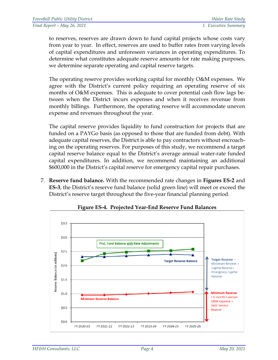to reserves, reserves are drawn down to fund capital projects whose costs vary from year to year. In effect, reserves are used to buffer rates from varying levels of capital expenditures and unforeseen variances in operating expenditures. To determine what constitutes adequate reserve amounts for rate making purposes, we determine separate operating and capital reserve targets.

The operating reserve provides working capital for monthly O&M expenses. We agree with the District's current policy requiring an operating reserve of six months of O&M expenses. This is adequate to cover potential cash flow lags between when the District incurs expenses and when it receives revenue from monthly billings. Furthermore, the operating reserve will accommodate uneven expense and revenues throughout the year.

The capital reserve provides liquidity to fund construction for projects that are funded on a PAYGo basis (as opposed to those that are funded from debt). With adequate capital reserves, the District is able to pay contractors without encroaching on the operating reserves. For purposes of this study, we recommend a target capital reserve balance equal to the District's average annual water-rate funded capital expenditures. In addition, we recommend maintaining an additional \$600,000 in the District's capital reserve for emergency capital repair purchases.

7. **Reserve fund balance.** With the recommended rate changes in **Figures ES-2** and **ES-3**, the District's reserve fund balance (solid green line) will meet or exceed the District's reserve target throughout the five-year financial planning period.

<span id="page-13-0"></span>

**Figure ES-4. Projected Year-End Reserve Fund Balances**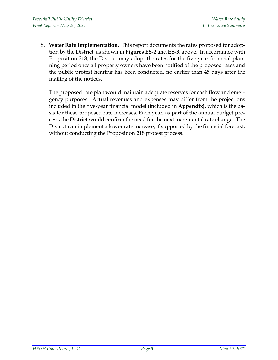8. **Water Rate Implementation.** This report documents the rates proposed for adoption by the District, as shown in **Figures ES-2** and **ES-3,** above. In accordance with Proposition 218, the District may adopt the rates for the five-year financial planning period once all property owners have been notified of the proposed rates and the public protest hearing has been conducted, no earlier than 45 days after the mailing of the notices.

The proposed rate plan would maintain adequate reserves for cash flow and emergency purposes. Actual revenues and expenses may differ from the projections included in the five-year financial model (included in **Appendix)**, which is the basis for these proposed rate increases. Each year, as part of the annual budget process, the District would confirm the need for the next incremental rate change. The District can implement a lower rate increase, if supported by the financial forecast, without conducting the Proposition 218 protest process.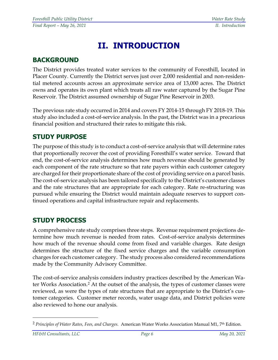## **II. INTRODUCTION**

### **BACKGROUND**

The District provides treated water services to the community of Foresthill, located in Placer County. Currently the District serves just over 2,000 residential and non-residential metered accounts across an approximate service area of 13,000 acres. The District owns and operates its own plant which treats all raw water captured by the Sugar Pine Reservoir. The District assumed ownership of Sugar Pine Reservoir in 2003.

The previous rate study occurred in 2014 and covers FY 2014-15 through FY 2018-19. This study also included a cost-of-service analysis. In the past, the District was in a precarious financial position and structured their rates to mitigate this risk.

### **STUDY PURPOSE**

The purpose of this study is to conduct a cost-of-service analysis that will determine rates that proportionally recover the cost of providing Foresthill's water service. Toward that end, the cost-of-service analysis determines how much revenue should be generated by each component of the rate structure so that rate payers within each customer category are charged for their proportionate share of the cost of providing service on a parcel basis. The cost-of-service analysis has been tailored specifically to the District's customer classes and the rate structures that are appropriate for each category. Rate re-structuring was pursued while ensuring the District would maintain adequate reserves to support continued operations and capital infrastructure repair and replacements.

### **STUDY PROCESS**

A comprehensive rate study comprises three steps. Revenue requirement projections determine how much revenue is needed from rates. Cost-of-service analysis determines how much of the revenue should come from fixed and variable charges. Rate design determines the structure of the fixed service charges and the variable consumption charges for each customer category. The study process also considered recommendations made by the Community Advisory Committee.

The cost-of-service analysis considers industry practices described by the American Water Works Association[.2](#page-15-0) At the outset of the analysis, the types of customer classes were reviewed, as were the types of rate structures that are appropriate to the District's customer categories. Customer meter records, water usage data, and District policies were also reviewed to hone our analysis.

<span id="page-15-0"></span><sup>2</sup> *Principles of Water Rates, Fees, and Charges*. American Water Works Association Manual M1, 7th Edition.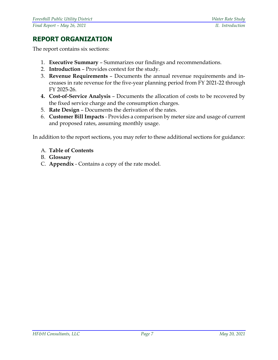### **REPORT ORGANIZATION**

The report contains six sections:

- 1. **Executive Summary** Summarizes our findings and recommendations.
- 2. **Introduction** Provides context for the study.
- 3. **Revenue Requirements** Documents the annual revenue requirements and increases in rate revenue for the five-year planning period from FY 2021-22 through FY 2025-26.
- **4. Cost-of-Service Analysis** Documents the allocation of costs to be recovered by the fixed service charge and the consumption charges.
- 5. **Rate Design** Documents the derivation of the rates.
- 6. **Customer Bill Impacts** Provides a comparison by meter size and usage of current and proposed rates, assuming monthly usage.

In addition to the report sections, you may refer to these additional sections for guidance:

- A. **Table of Contents**
- B. **Glossary**
- C. **Appendix** Contains a copy of the rate model.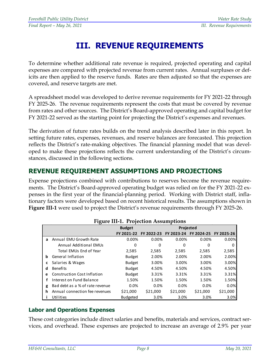## **III. REVENUE REQUIREMENTS**

To determine whether additional rate revenue is required, projected operating and capital expenses are compared with projected revenue from current rates. Annual surpluses or deficits are then applied to the reserve funds. Rates are then adjusted so that the expenses are covered, and reserve targets are met.

A spreadsheet model was developed to derive revenue requirements for FY 2021-22 through FY 2025-26. The revenue requirements represent the costs that must be covered by revenue from rates and other sources. The District's Board-approved operating and capital budget for FY 2021-22 served as the starting point for projecting the District's expenses and revenues.

The derivation of future rates builds on the trend analysis described later in this report. In setting future rates, expenses, revenues, and reserve balances are forecasted. This projection reflects the District's rate-making objectives. The financial planning model that was developed to make these projections reflects the current understanding of the District's circumstances, discussed in the following sections.

### **REVENUE REQUIREMENT ASSUMPTIONS AND PROJECTIONS**

Expense projections combined with contributions to reserves become the revenue requirements. The District's Board-approved operating budget was relied on for the FY 2021-22 expenses in the first year of the financial-planning period. Working with District staff, inflationary factors were developed based on recent historical results. The assumptions shown in **Figure III-1** were used to project the District's revenue requirements through FY 2025-26.

<span id="page-17-0"></span>

|   |                                    | 114 - 111 1. 110 centri 1100 ani public |            |            |            |            |
|---|------------------------------------|-----------------------------------------|------------|------------|------------|------------|
|   |                                    | <b>Budget</b>                           |            | Projected  |            |            |
|   |                                    | FY 2021-22                              | FY 2022-23 | FY 2023-24 | FY 2024-25 | FY 2025-26 |
| a | Annual EMU Growth Rate             | 0.00%                                   | 0.00%      | 0.00%      | 0.00%      | 0.00%      |
|   | Annual Additional EMUs             | 0                                       | 0          | 0          | 0          | 0          |
|   | Total EMUs End of Year             | 2,585                                   | 2,585      | 2,585      | 2,585      | 2,585      |
| b | General Inflation                  | <b>Budget</b>                           | 2.00%      | 2.00%      | 2.00%      | 2.00%      |
| c | Salaries & Wages                   | <b>Budget</b>                           | 3.00%      | 3.00%      | 3.00%      | 3.00%      |
| d | <b>Benefits</b>                    | <b>Budget</b>                           | 4.50%      | 4.50%      | 4.50%      | 4.50%      |
| e | <b>Construction Cost Inflation</b> | <b>Budget</b>                           | 3.31%      | 3.31%      | 3.31%      | 3.31%      |
| f | Interest on Fund Balance           | 1.50%                                   | 1.50%      | 1.50%      | 1.50%      | 1.50%      |
| g | Bad debt as a % of rate revenue    | 0.0%                                    | 0.0%       | 0.0%       | $0.0\%$    | 0.0%       |
| h | Annual connection fee revenues     | \$21,000                                | \$21,000   | \$21,000   | \$21,000   | \$21,000   |
|   | Utilities                          | <b>Budgeted</b>                         | 3.0%       | 3.0%       | 3.0%       | 3.0%       |

#### **Figure III-1. Projection Assumptions**

#### **Labor and Operations Expenses**

These cost categories include direct salaries and benefits, materials and services, contract services, and overhead. These expenses are projected to increase an average of 2.9% per year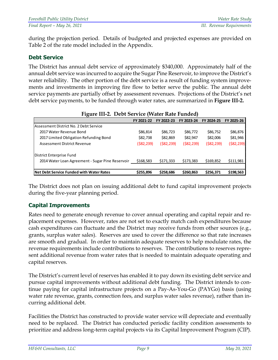during the projection period. Details of budgeted and projected expenses are provided on Table 2 of the rate model included in the Appendix.

#### **Debt Service**

The District has annual debt service of approximately \$340,000. Approximately half of the annual debt service was incurred to acquire the Sugar Pine Reservoir, to improve the District's water reliability. The other portion of the debt service is a result of funding system improvements and investments in improving fire flow to better serve the public. The annual debt service payments are partially offset by assessment revenues. Projections of the District's net debt service payments, to be funded through water rates, are summarized in **Figure III-2.** 

<span id="page-18-0"></span>

| Figure III-2. Debt Service (Water Rate Funded)   |            |              |              |              |              |  |
|--------------------------------------------------|------------|--------------|--------------|--------------|--------------|--|
|                                                  | FY 2021-22 | FY 2022-23   | FY 2023-24   | FY 2024-25   | FY 2025-26   |  |
| lAssessment District No. 2 Debt Service          |            |              |              |              |              |  |
| 2017 Water Revenue Bond                          | \$86,814   | \$86,723     | \$86,772     | \$86,752     | \$86,876     |  |
| 2017 Limited Obligation Refunding Bond           | \$82,738   | \$82,869     | \$82,947     | \$82,006     | \$81,946     |  |
| Assessment District Revenue                      | (\$82,239) | ( \$82, 239) | ( \$82, 239) | ( \$82, 239) | ( \$82, 239) |  |
| District Enterprise Fund                         |            |              |              |              |              |  |
| 2014 Water Loan Agreement - Sugar Pine Reservoir | \$168,583  | \$171,333    | \$173,383    | \$169,852    | \$111,981    |  |
|                                                  |            |              |              |              |              |  |
| Net Debt Service Funded with Water Rates         | \$255,896  | \$258,686    | \$260,863    | \$256,371    | \$198,563    |  |

### The District does not plan on issuing additional debt to fund capital improvement projects during the five-year planning period.

#### **Capital Improvements**

Rates need to generate enough revenue to cover annual operating and capital repair and replacement expenses. However, rates are not set to exactly match cash expenditures because cash expenditures can fluctuate and the District may receive funds from other sources (e.g., grants, surplus water sales). Reserves are used to cover the difference so that rate increases are smooth and gradual. In order to maintain adequate reserves to help modulate rates, the revenue requirements include contributions to reserves. The contributions to reserves represent additional revenue from water rates that is needed to maintain adequate operating and capital reserves.

The District's current level of reserves has enabled it to pay down its existing debt service and pursue capital improvements without additional debt funding. The District intends to continue paying for capital infrastructure projects on a Pay-As-You-Go (PAYGo) basis (using water rate revenue, grants, connection fees, and surplus water sales revenue), rather than incurring additional debt.

Facilities the District has constructed to provide water service will depreciate and eventually need to be replaced. The District has conducted periodic facility condition assessments to prioritize and address long-term capital projects via its Capital Improvement Program (CIP).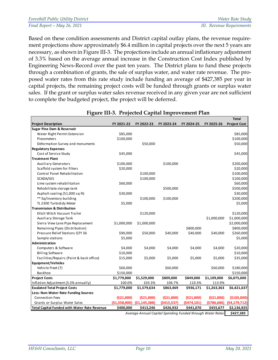| <b>Foresthill Public Utility District</b> | Water Rate Study          |
|-------------------------------------------|---------------------------|
| Final Report - May 26, 2021               | III. Revenue Requirements |

Based on these condition assessments and District capital outlay plans, the revenue requirement projections show approximately \$6.4 million in capital projects over the next 5 years are necessary, as shown in Figure III-3. The projections include an annual inflationary adjustment of 3.3% based on the average annual increase in the Construction Cost Index published by Engineering News-Record over the past ten years. The District plans to fund these projects through a combination of grants, the sale of surplus water, and water rate revenue. The proposed water rates from this rate study include funding an average of \$427,385 per year in capital projects, the remaining project costs will be funded through grants or surplus water sales. If the grant or surplus water sales revenue received in any given year are not sufficient to complete the budgeted project, the project will be deferred.

<span id="page-19-0"></span>

|                                                     |             |                               |            |             |                                                            | <b>Total</b>        |
|-----------------------------------------------------|-------------|-------------------------------|------------|-------------|------------------------------------------------------------|---------------------|
| <b>Project Description</b>                          | FY 2021-22  | FY 2022-23                    | FY 2023-24 | FY 2024-25  | FY 2025-26                                                 | <b>Project Cost</b> |
| <b>Sugar Pine Dam &amp; Reservoir</b>               |             |                               |            |             |                                                            |                     |
| Water Right Permit Extension                        | \$85,000    |                               |            |             |                                                            | \$85,000            |
| Piezometers                                         | \$100,000   |                               |            |             |                                                            | \$100,000           |
| Deformation Survey and monuments                    |             | \$50,000                      |            |             |                                                            | \$50,000            |
| <b>Regulatory Expenses</b>                          |             |                               |            |             |                                                            |                     |
| Cost of Service Study                               | \$45,000    |                               |            |             |                                                            | \$45,000            |
| <b>Treatment Plant</b>                              |             |                               |            |             |                                                            |                     |
| <b>Auxiliary Generators</b>                         | \$100,000   |                               | \$100,000  |             |                                                            | \$200,000           |
| Scaffold system for filters                         | \$20,000    |                               |            |             |                                                            | \$20,000            |
| Control Panel Rehabilitation                        |             | \$100,000                     |            |             |                                                            | \$100,000           |
| SCADA/GIS                                           |             | \$100,000                     |            |             |                                                            | \$100,000           |
| Lime system rehabilitation                          | \$60,000    |                               |            |             |                                                            | \$60,000            |
| Rehabilitate storage tank                           |             |                               | \$500,000  |             |                                                            | \$500,000           |
| Asphalt sealing (51,000 sq-ft)                      | \$30,000    |                               |            |             |                                                            | \$30,000            |
| ** Eq/Inventory building                            |             | \$100,000                     | \$100,000  |             |                                                            | \$200,000           |
| TL 2300 Turbididy Meter                             | \$5,000     |                               |            |             |                                                            | \$5,000             |
| <b>Transmission &amp; Distribution</b>              |             |                               |            |             |                                                            |                     |
| Ditch Witch Vacuum Trailer                          |             | \$120,000                     |            |             |                                                            | \$120,000           |
| <b>Auxiliary Storage Tank</b>                       |             |                               |            |             | \$1,000,000                                                | \$1,000,000         |
| Sierra View Lane Pipe Replacement                   | \$1,000,000 | \$1,000,000                   |            |             |                                                            | \$2,000,000         |
| Remaining Pipes (Distribution)                      |             |                               |            | \$800,000   |                                                            | \$800,000           |
| Pressure Relief Stations QTY 36                     | \$90,000    | \$50,000                      | \$40,000   | \$40,000    | \$40,000                                                   | \$260,000           |
| Sample stations                                     | \$5,000     |                               |            |             |                                                            | \$5,000             |
| Administration                                      |             |                               |            |             |                                                            |                     |
| Computers & Software                                | \$4,000     | \$4,000                       | \$4,000    | \$4,000     | \$4,000                                                    | \$20,000            |
| <b>Billing Software</b>                             | \$10,000    |                               |            |             |                                                            | \$10,000            |
| Facilities/Repairs (Paint & back office)            | \$15,000    | \$5,000                       | \$5,000    | \$5,000     | \$5,000                                                    | \$35,000            |
| <b>Equipment/Vehicles</b>                           |             |                               |            |             |                                                            |                     |
| Vehicle Fleet (7)                                   | \$60,000    |                               | \$60,000   |             | \$60,000                                                   | \$180,000           |
| Backhoe                                             | \$150,000   |                               |            |             |                                                            | \$150,000           |
| <b>Project Costs</b>                                | \$1,779,000 | \$1,529,000                   | \$809,000  | \$849,000   | \$1,109,000                                                | \$6,075,000         |
| Inflation Adjustment (3.3% annually)                | 100.0%      | 103.3%                        | 106.7%     | 110.3%      | 113.9%                                                     |                     |
| <b>Escalated Total Project Costs</b>                | \$1,779,000 | \$1,579,634                   | \$863,469  | \$936,171   | \$1,263,363                                                | \$6,421,637         |
| Less: Non-Water Rate Funding Sources                |             |                               |            |             |                                                            |                     |
| <b>Connection Fees</b>                              | (\$21,000)  | (\$21,000)                    | (\$21,000) | (\$21,000)  | (\$21,000)                                                 | (\$105,000)         |
| Grants or Surplus Water Sales                       |             | $(51,358,000)$ $(51,145,388)$ | (5415,537) | (5474, 101) | (5786, 686)                                                | (54, 179, 712)      |
| <b>Total Capital Funded with Water Rate Revenue</b> | \$400,000   | \$413,246                     | \$426,932  | \$441,070   | \$455,677                                                  | \$2,136,925         |
|                                                     |             |                               |            |             | Average Annual Capital Spending Eunded through Water Pates | <b>CA77 205</b>     |

#### **Figure III-3. Projected Capital Improvement Plan**

*Average Annual Capital Spending Funded through Water Rates \$427,385*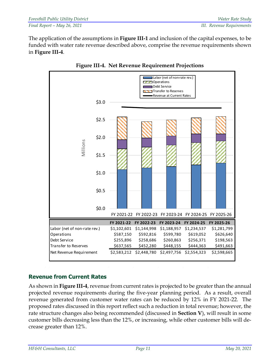The application of the assumptions in **Figure III-1** and inclusion of the capital expenses, to be funded with water rate revenue described above, comprise the revenue requirements shown in **Figure III-4**.

<span id="page-20-0"></span>



#### **Revenue from Current Rates**

As shown in **Figure III-4**, revenue from current rates is projected to be greater than the annual projected revenue requirements during the five-year planning period. As a result, overall revenue generated from customer water rates can be reduced by 12% in FY 2021-22. The proposed rates discussed in this report reflect such a reduction in total revenue; however, the rate structure changes also being recommended (discussed in **Section V**), will result in some customer bills decreasing less than the 12%, or increasing, while other customer bills will decrease greater than 12%.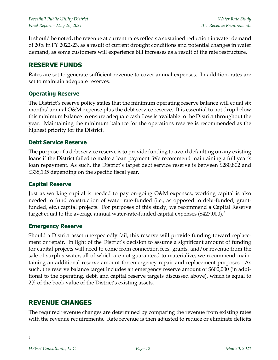It should be noted, the revenue at current rates reflects a sustained reduction in water demand of 20% in FY 2022-23, as a result of current drought conditions and potential changes in water demand, as some customers will experience bill increases as a result of the rate restructure.

### **RESERVE FUNDS**

Rates are set to generate sufficient revenue to cover annual expenses. In addition, rates are set to maintain adequate reserves.

#### **Operating Reserve**

The District's reserve policy states that the minimum operating reserve balance will equal six months' annual O&M expense plus the debt service reserve. It is essential to not drop below this minimum balance to ensure adequate cash flow is available to the District throughout the year. Maintaining the minimum balance for the operations reserve is recommended as the highest priority for the District.

#### **Debt Service Reserve**

The purpose of a debt service reserve is to provide funding to avoid defaulting on any existing loans if the District failed to make a loan payment. We recommend maintaining a full year's loan repayment. As such, the District's target debt service reserve is between \$280,802 and \$338,135 depending on the specific fiscal year.

#### **Capital Reserve**

Just as working capital is needed to pay on-going O&M expenses, working capital is also needed to fund construction of water rate-funded (i.e., as opposed to debt-funded, grantfunded, etc.) capital projects. For purposes of this study, we recommend a Capital Reserve target equal to the average annual water-rate-funded capital expenses (\$427,000).[3](#page-21-0) 

#### **Emergency Reserve**

Should a District asset unexpectedly fail, this reserve will provide funding toward replacement or repair. In light of the District's decision to assume a significant amount of funding for capital projects will need to come from connection fees, grants, and/or revenue from the sale of surplus water, all of which are not guaranteed to materialize, we recommend maintaining an additional reserve amount for emergency repair and replacement purposes. As such, the reserve balance target includes an emergency reserve amount of \$600,000 (in additional to the operating, debt, and capital reserve targets discussed above), which is equal to 2% of the book value of the District's existing assets.

### **REVENUE CHANGES**

The required revenue changes are determined by comparing the revenue from existing rates with the revenue requirements. Rate revenue is then adjusted to reduce or eliminate deficits

<span id="page-21-0"></span>3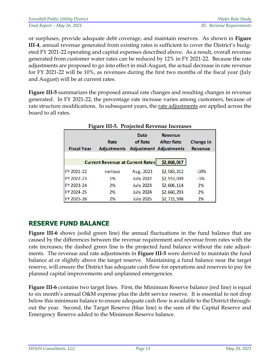or surpluses, provide adequate debt coverage, and maintain reserves. As shown in **Figure III**-**4**, annual revenue generated from existing rates is sufficient to cover the District's budgeted FY 2021-22 operating and capital expenses described above. As a result, overall revenue generated from customer water rates can be reduced by 12% in FY 2021-22. Because the rate adjustments are proposed to go into effect in mid-August, the actual decrease in rate revenue for FY 2021-22 will be 10%, as revenues during the first two months of the fiscal year (July and August) will be at current rates.

<span id="page-22-0"></span>**Figure III-5** summarizes the proposed annual rate changes and resulting changes in revenue generated. In FY 2021-22, the percentage rate increase varies among customers, because of rate structure modifications. In subsequent years, the rate adjustments are applied across the board to all rates.

| <b>Fiscal Year</b> | Tigule III-9. Trojecteu Revenue Increases<br>Date<br>of Rate<br>Rate<br><b>Adjustments</b> |                  | <b>Revenue</b><br><b>After Rate</b><br><b>Adjustment Adjustments</b> | Change in<br><b>Revenue</b> |
|--------------------|--------------------------------------------------------------------------------------------|------------------|----------------------------------------------------------------------|-----------------------------|
|                    | <b>Current Revenue at Current Rates</b>                                                    |                  | \$2,868,017                                                          |                             |
| FY 2021-22         | various                                                                                    | Aug. 2021        | \$2,583,212                                                          | $-10%$                      |
| FY 2022-23         | 1%                                                                                         | <b>July 2022</b> | \$2,553,039                                                          | $-1%$                       |
| FY 2023-24         | 2%                                                                                         | <b>July 2023</b> | \$2,606,114                                                          | 2%                          |
| FY 2024-25         | 2%                                                                                         | <b>July 2024</b> | \$2,660,293                                                          | 2%                          |
| FY 2025-26         | 2%                                                                                         | <b>July 2025</b> | \$2,715,598                                                          | 2%                          |

### **Figure III-5. Projected Revenue Increases**

### **RESERVE FUND BALANCE**

**Figure III-6** shows (solid green line) the annual fluctuations in the fund balance that are caused by the differences between the revenue requirement and revenue from rates with the rate increases; the dashed green line is the projected fund balance without the rate adjustments. The revenue and rate adjustments in **Figure III-5** were derived to maintain the fund balance at or slightly above the target reserve. Maintaining a fund balance near the target reserve, will ensure the District has adequate cash flow for operations and reserves to pay for planned capital improvements and unplanned emergencies.

**Figure III-6** contains two target lines. First, the Minimum Reserve balance (red line) is equal to six month's annual O&M expense plus the debt service reserve. It is essential to not drop below this minimum balance to ensure adequate cash flow is available to the District throughout the year. Second, the Target Reserve (blue line) is the sum of the Capital Reserve and Emergency Reserve added to the Minimum Reserve balance.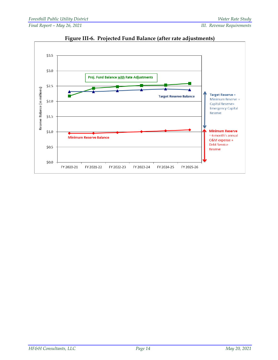<span id="page-23-0"></span>

**Figure III-6. Projected Fund Balance (after rate adjustments)**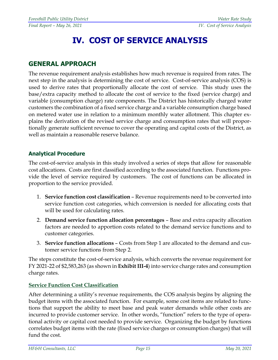## **IV. COST OF SERVICE ANALYSIS**

#### **GENERAL APPROACH**

The revenue requirement analysis establishes how much revenue is required from rates. The next step in the analysis is determining the cost of service. Cost-of-service analysis (COS) is used to derive rates that proportionally allocate the cost of service. This study uses the base/extra capacity method to allocate the cost of service to the fixed (service charge) and variable (consumption charge) rate components. The District has historically charged water customers the combination of a fixed service charge and a variable consumption charge based on metered water use in relation to a minimum monthly water allotment. This chapter explains the derivation of the revised service charge and consumption rates that will proportionally generate sufficient revenue to cover the operating and capital costs of the District, as well as maintain a reasonable reserve balance.

#### **Analytical Procedure**

The cost-of-service analysis in this study involved a series of steps that allow for reasonable cost allocations. Costs are first classified according to the associated function. Functions provide the level of service required by customers. The cost of functions can be allocated in proportion to the service provided.

- 1. **Service function cost classification** Revenue requirements need to be converted into service function cost categories, which conversion is needed for allocating costs that will be used for calculating rates.
- 2. **Demand service function allocation percentages** Base and extra capacity allocation factors are needed to apportion costs related to the demand service functions and to customer categories.
- 3. **Service function allocations** Costs from Step 1 are allocated to the demand and customer service functions from Step 2.

The steps constitute the cost-of-service analysis, which converts the revenue requirement for FY 2021-22 of \$2,583,263 (as shown in **Exhibit III-4**) into service charge rates and consumption charge rates.

#### **Service Function Cost Classification**

After determining a utility's revenue requirements, the COS analysis begins by aligning the budget items with the associated function. For example, some cost items are related to functions that support the ability to meet base and peak water demands while other costs are incurred to provide customer service. In other words, "function" refers to the type of operational activity or capital cost needed to provide service. Organizing the budget by functions correlates budget items with the rate (fixed service charges or consumption charges) that will fund the cost.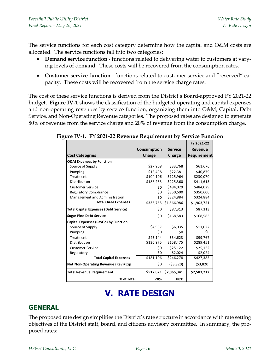The service functions for each cost category determine how the capital and O&M costs are allocated. The service functions fall into two categories:

- **Demand service function** functions related to delivering water to customers at varying levels of demand. These costs will be recovered from the consumption rates.
- **Customer service function** functions related to customer service and "reserved" capacity. These costs will be recovered from the service charge rates.

The cost of these service functions is derived from the District's Board-approved FY 2021-22 budget. **Figure IV-1** shows the classification of the budgeted operating and capital expenses and non-operating revenues by service function, organizing them into O&M, Capital, Debt Service, and Non-Operating Revenue categories. The proposed rates are designed to generate 80% of revenue from the service charge and 20% of revenue from the consumption charge.

|                                              |             |                       | FY 2021-22     |
|----------------------------------------------|-------------|-----------------------|----------------|
|                                              | Consumption | <b>Service</b>        | <b>Revenue</b> |
| <b>Cost Cateogries</b>                       | Charge      | Charge                | Requirement    |
| <b>O&amp;M Expenses by Function</b>          |             |                       |                |
| Source of Supply                             | \$27,908    | \$33,768              | \$61,676       |
| Pumping                                      | \$18,498    | \$22,381              | \$40,879       |
| Treatment                                    | \$104,106   | \$125,964             | \$230,070      |
| Distribution                                 | \$186,253   | \$225,360             | \$411,613      |
| <b>Customer Service</b>                      | \$0         | \$484,029             | \$484,029      |
| <b>Regulatory Compliance</b>                 | \$0         | \$350,600             | \$350,600      |
| Management and Administration                | \$0         | \$324,884             | \$324,884      |
| <b>Total O&amp;M Expenses</b>                |             | \$336,765 \$1,566,986 | \$1,903,751    |
| <b>Total Capital Expenses (Debt Service)</b> | \$0         | \$87,313              | \$87,313       |
| <b>Sugar Pine Debt Service</b>               | \$0         | \$168,583             | \$168,583      |
| Capital Expenses (PayGo) by Function         |             |                       |                |
| Source of Supply                             | \$4,987     | \$6,035               | \$11,022       |
| Pumping                                      | \$0         | \$0                   | \$0            |
| Treatment                                    | \$45.144    | \$54,623              | \$99,767       |
| Distribution                                 | \$130,975   | \$158,475             | \$289,451      |
| <b>Customer Service</b>                      | \$0         | \$25,122              | \$25,122       |
| Regulatory                                   | \$0         | \$2,024               | \$2,024        |
| <b>Total Capital Expenses</b>                | \$181,106   | \$246,278             | \$427,385      |
| Net Non-Operating Revenue (Rev)/Exp          | \$0         | (53,820)              | (53,820)       |
| <b>Total Revenue Requirement</b>             |             | \$517,871 \$2,065,341 | \$2,583,212    |
| % of Total                                   | 20%         | 80%                   |                |

<span id="page-25-0"></span>**Figure IV-1. FY 2021-22 Revenue Requirement by Service Function**

## **V. RATE DESIGN**

### **GENERAL**

The proposed rate design simplifies the District's rate structure in accordance with rate setting objectives of the District staff, board, and citizens advisory committee. In summary, the proposed rates: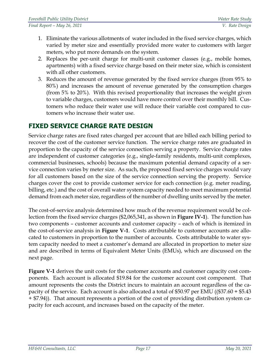- 1. Eliminate the various allotments of water included in the fixed service charges, which varied by meter size and essentially provided more water to customers with larger meters, who put more demands on the system.
- 2. Replaces the per-unit charge for multi-unit customer classes (e.g., mobile homes, apartments) with a fixed service charge based on their meter size, which is consistent with all other customers.
- 3. Reduces the amount of revenue generated by the fixed service charges (from 95% to 80%) and increases the amount of revenue generated by the consumption charges (from 5% to 20%). With this revised proportionality that increases the weight given to variable charges, customers would have more control over their monthly bill. Customers who reduce their water use will reduce their variable cost compared to customers who increase their water use.

### **FIXED SERVICE CHARGE RATE DESIGN**

Service charge rates are fixed rates charged per account that are billed each billing period to recover the cost of the customer service function. The service charge rates are graduated in proportion to the capacity of the service connection serving a property. Service charge rates are independent of customer categories (e.g., single-family residents, multi-unit complexes, commercial businesses, schools) because the maximum potential demand capacity of a service connection varies by meter size. As such, the proposed fixed service charges would vary for all customers based on the size of the service connection serving the property. Service charges cover the cost to provide customer service for each connection (e.g. meter reading, billing, etc.) and the cost of overall water system capacity needed to meet maximum potential demand from each meter size, regardless of the number of dwelling units served by the meter.

The cost-of-service analysis determined how much of the revenue requirement would be collection from the fixed service charges (\$2,065,341, as shown in **Figure IV-1**). The function has two components – customer accounts and customer capacity – each of which is itemized in the cost-of-service analysis in **Figure V-1**. Costs attributable to customer accounts are allocated to customers in proportion to the number of accounts. Costs attributable to water system capacity needed to meet a customer's demand are allocated in proportion to meter size and are described in terms of Equivalent Meter Units (EMUs), which are discussed on the next page.

**Figure V-1** derives the unit costs for the customer accounts and customer capacity cost components. Each account is allocated \$19.84 for the customer account cost component. That amount represents the costs the District incurs to maintain an account regardless of the capacity of the service. Each account is also allocated a total of \$50.97 per EMU ((\$37.60 + \$5.43 + \$7.94)). That amount represents a portion of the cost of providing distribution system capacity for each account, and increases based on the capacity of the meter.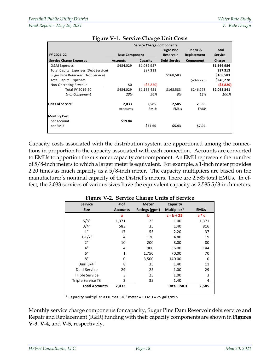<span id="page-27-0"></span>

|                                       | <b>Service Charge Components</b> |             |                     |             |                |  |
|---------------------------------------|----------------------------------|-------------|---------------------|-------------|----------------|--|
|                                       |                                  |             | <b>Sugar Pine</b>   | Repair &    | Total          |  |
| FY 2021-22                            | <b>Base Component</b>            |             | <b>Reservoir</b>    | Replacement | <b>Service</b> |  |
| <b>Service Charge Expenses</b>        | <b>Accounts</b>                  | Capacity    | <b>Debt Service</b> | Component   | Charge         |  |
| O&M Expenses                          | \$484,029                        | \$1,082,957 |                     |             | \$1,566,986    |  |
| Total Capital Expenses (Debt Service) |                                  | \$87,313    |                     |             | \$87,313       |  |
| Sugar Pine Reservoir (Debt Service)   |                                  |             | \$168,583           |             | \$168,583      |  |
| <b>Total Capital Expenses</b>         |                                  |             |                     | \$246,278   | \$246,278      |  |
| Non-Operating Revenue                 | \$0                              | ( \$3,820)  |                     |             | (53,820)       |  |
| Total FY 2019-20                      | \$484,029                        | \$1,166,451 | \$168,583           | \$246,278   | \$2,065,341    |  |
| % of Component                        | 23%                              | 56%         | 8%                  | 12%         | 100%           |  |
| <b>Units of Service</b>               | 2,033                            | 2,585       | 2,585               | 2,585       |                |  |
|                                       | Accounts                         | <b>EMUs</b> | <b>EMUs</b>         | <b>EMUs</b> |                |  |
| <b>Monthly Cost</b>                   |                                  |             |                     |             |                |  |
| per Account                           | \$19.84                          |             |                     |             |                |  |
| per EMU                               |                                  | \$37.60     | \$5.43              | \$7.94      |                |  |

#### **Figure V-1. Service Charge Unit Costs**

Capacity costs associated with the distribution system are apportioned among the connections in proportion to the capacity associated with each connection. Accounts are converted to EMUs to apportion the customer capacity cost component. An EMU represents the number of 5/8-inch meters to which a larger meter is equivalent. For example, a 1-inch meter provides 2.20 times as much capacity as a 5/8-inch meter. The capacity multipliers are based on the manufacturer's nominal capacity of the District's meters. There are 2,585 total EMUs. In effect, the 2,033 services of various sizes have the equivalent capacity as 2,585 5/8-inch meters.

<span id="page-27-1"></span>

| <b>Service</b>        | # of            | <b>Meter</b>  | Capacity          |             |
|-----------------------|-----------------|---------------|-------------------|-------------|
| <b>Size</b>           | <b>Accounts</b> | Ratings (gpm) | Multiplier*       | <b>EMUs</b> |
|                       | a               | b             | $c = b \div 25$   | $a * c$     |
| 5/8"                  | 1,371           | 25            | 1.00              | 1,371       |
| 3/4"                  | 583             | 35            | 1.40              | 816         |
| 1"                    | 17              | 55            | 2.20              | 37          |
| $1 - 1/2"$            | 4               | 120           | 4.80              | 19          |
| 2"                    | 10              | 200           | 8.00              | 80          |
| 4"                    | 4               | 900           | 36.00             | 144         |
| 6"                    | 1               | 1,750         | 70.00             | 70          |
| 8"                    | 0               | 3,500         | 140.00            | 0           |
| Dual 3/4"             | 8               | 35            | 1.40              | 11          |
| Dual Service          | 29              | 25            | 1.00              | 29          |
| Triple Service        | 3               | 25            | 1.00              | 3           |
| Triple Service T3     | 3               | 35            | 1.40              | 4           |
| <b>Total Accounts</b> | 2,033           |               | <b>Total EMUs</b> | 2,585       |

#### **Figure V-2. Service Charge Units of Service**

\* Capacity multiplier assumes 5/8" meter = 1 EMU = 25 gals/min

Monthly service charge components for capacity, Sugar Pine Dam Reservoir debt service and Repair and Replacement (R&R) funding with their capacity components are shown in **Figures V-3**, **V-4**, and **V-5**, respectively.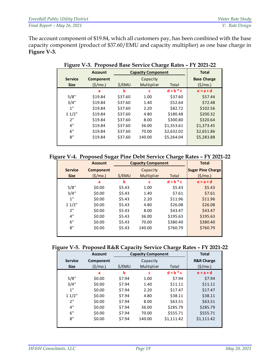<span id="page-28-0"></span>The account component of \$19.84, which all customers pay, has been combined with the base capacity component (product of \$37.60/EMU and capacity multiplier) as one base charge in **Figure V-3.**

| ັ              | <b>Account</b> |         | <b>Capacity Component</b> | <b>Total</b> |                    |
|----------------|----------------|---------|---------------------------|--------------|--------------------|
| <b>Service</b> | Component      |         | Capacity                  |              | <b>Base Charge</b> |
| <b>Size</b>    | (\$/mo.)       | \$/EMU  | Multiplier                | Total        | (5/mol)            |
|                | a              | b       | c                         | $d = b * c$  | $e = a + d$        |
| 5/8"           | \$19.84        | \$37.60 | 1.00                      | \$37.60      | \$57.44            |
| 3/4"           | \$19.84        | \$37.60 | 1.40                      | \$52.64      | \$72.48            |
| 1"             | \$19.84        | \$37.60 | 2.20                      | \$82.72      | \$102.56           |
| 11/2"          | \$19.84        | \$37.60 | 4.80                      | \$180.48     | \$200.32           |
| 2"             | \$19.84        | \$37.60 | 8.00                      | \$300.80     | \$320.64           |
| 4"             | \$19.84        | \$37.60 | 36.00                     | \$1,353.61   | \$1,373.45         |
| 6"             | \$19.84        | \$37.60 | 70.00                     | \$2,632.02   | \$2,651.86         |
| 8"             | \$19.84        | \$37.60 | 140.00                    | \$5,264.04   | \$5,283.88         |
|                |                |         |                           |              |                    |

**Figure V-3. Proposed Base Service Charge Rates – FY 2021-22**

<span id="page-28-1"></span>

|  |  | Figure V-4. Proposed Sugar Pine Debt Service Charge Rates - FY 2021-22 |  |
|--|--|------------------------------------------------------------------------|--|
|  |  |                                                                        |  |

|                | <b>Account</b>   | <b>Capacity Component</b> |            |             | <b>Total</b>             |
|----------------|------------------|---------------------------|------------|-------------|--------------------------|
| <b>Service</b> | <b>Component</b> |                           | Capacity   |             | <b>Sugar Pine Charge</b> |
| <b>Size</b>    | (5/mol)          | \$/EMU                    | Multiplier | Total       | (5/mol)                  |
|                | a                | b                         | c          | $d = b * c$ | $e = a + d$              |
| 5/8"           | \$0.00           | \$5.43                    | 1.00       | \$5.43      | \$5.43                   |
| 3/4"           | \$0.00           | \$5.43                    | 1.40       | \$7.61      | \$7.61                   |
| 1"             | \$0.00           | \$5.43                    | 2.20       | \$11.96     | \$11.96                  |
| 11/2"          | \$0.00           | \$5.43                    | 4.80       | \$26.08     | \$26.08                  |
| 2"             | \$0.00           | \$5.43                    | 8.00       | \$43.47     | \$43.47                  |
| 4"             | \$0.00           | \$5.43                    | 36.00      | \$195.63    | \$195.63                 |
| 6"             | \$0.00           | \$5.43                    | 70.00      | \$380.40    | \$380.40                 |
| 8"             | \$0.00           | \$5.43                    | 140.00     | \$760.79    | \$760.79                 |
|                |                  |                           |            |             |                          |

<span id="page-28-2"></span>

| Figure V-5. Proposed R&R Capacity Service Charge Rates - FY 2021-22 |  |  |
|---------------------------------------------------------------------|--|--|
|                                                                     |  |  |

|                | <b>Account</b> |        | <b>Capacity Component</b> | <b>Total</b> |                       |
|----------------|----------------|--------|---------------------------|--------------|-----------------------|
| <b>Service</b> | Component      |        | Capacity                  |              | <b>R&amp;R Charge</b> |
| <b>Size</b>    | (5/mol)        | \$/EMU | Multiplier                | Total        | (5/mol)               |
|                | a              | b      | c                         | $d = b * c$  | $e = a + d$           |
| 5/8"           | \$0.00         | \$7.94 | 1.00                      | \$7.94       | \$7.94                |
| 3/4"           | \$0.00         | \$7.94 | 1.40                      | \$11.11      | \$11.11               |
| 1"             | \$0.00         | \$7.94 | 2.20                      | \$17.47      | \$17.47               |
| 11/2"          | \$0.00         | \$7.94 | 4.80                      | \$38.11      | \$38.11               |
| 2"             | \$0.00         | \$7.94 | 8.00                      | \$63.51      | \$63.51               |
| 4"             | \$0.00         | \$7.94 | 36.00                     | \$285.79     | \$285.79              |
| 6"             | \$0.00         | \$7.94 | 70.00                     | \$555.71     | \$555.71              |
| 8"             | \$0.00         | \$7.94 | 140.00                    | \$1,111.42   | \$1,111.42            |
|                |                |        |                           |              |                       |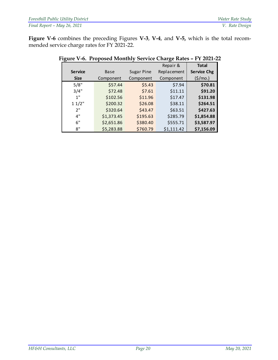<span id="page-29-0"></span>**Figure V-6** combines the preceding Figures **V-3**, **V-4**, and **V-5,** which is the total recommended service charge rates for FY 2021-22.

|                |            | Repair &          |             | <b>Total</b>        |
|----------------|------------|-------------------|-------------|---------------------|
| <b>Service</b> | Base       | <b>Sugar Pine</b> | Replacement | <b>Service Chg</b>  |
| <b>Size</b>    | Component  | Component         | Component   | $(\frac{\xi}{m}0.)$ |
| 5/8"           | \$57.44    | \$5.43            | \$7.94      | \$70.81             |
| 3/4"           | \$72.48    | \$7.61            | \$11.11     | \$91.20             |
| 1"             | \$102.56   | \$11.96           | \$17.47     | \$131.98            |
| 11/2"          | \$200.32   | \$26.08           | \$38.11     | \$264.51            |
| 2"             | \$320.64   | \$43.47           | \$63.51     | \$427.63            |
| 4"             | \$1,373.45 | \$195.63          | \$285.79    | \$1,854.88          |
| 6"             | \$2,651.86 | \$380.40          | \$555.71    | \$3,587.97          |
| 8"             | \$5,283.88 | \$760.79          | \$1,111.42  | \$7,156.09          |

#### **Figure V-6. Proposed Monthly Service Charge Rates – FY 2021-22**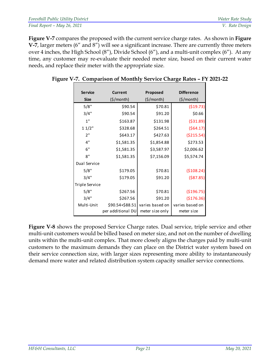| <b>Foresthill Public Utility District</b> | Water Rate Study |
|-------------------------------------------|------------------|
| Final Report - May 26, 2021               | V. Rate Design   |

**Figure V-7** compares the proposed with the current service charge rates. As shown in **Figure V-7**, larger meters (6" and 8") will see a significant increase. There are currently three meters over 4 inches, the High School (8"), Divide School (6"), and a multi-unit complex (6"). At any time, any customer may re-evaluate their needed meter size, based on their current water needs, and replace their meter with the appropriate size.

| <b>Service</b> | <b>Current</b>                       | Proposed                           | <b>Difference</b>             |
|----------------|--------------------------------------|------------------------------------|-------------------------------|
| <b>Size</b>    | $(\frac{\xi}{\text{month}})$         | $(\frac{\xi}{\text{month}})$       | $(\frac{5}{\text{month}})$    |
| 5/8"           | \$90.54                              | \$70.81                            | ( \$19.73)                    |
| 3/4"           | \$90.54                              | \$91.20                            | \$0.66                        |
| 1"             | \$163.87                             | \$131.98                           | ( \$31.89)                    |
| 11/2"          | \$328.68                             | \$264.51                           | (564.17)                      |
| 2"             | \$643.17                             | \$427.63                           | ( \$215.54)                   |
| 4"             | \$1,581.35                           | \$1,854.88                         | \$273.53                      |
| 6"             | \$1,581.35                           | \$3,587.97                         | \$2,006.62                    |
| 8"             | \$1,581.35                           | \$7,156.09                         | \$5,574.74                    |
| Dual Service   |                                      |                                    |                               |
| 5/8"           | \$179.05                             | \$70.81                            | (\$108.24)                    |
| 3/4"           | \$179.05                             | \$91.20                            | ( \$87.85)                    |
| Triple Service |                                      |                                    |                               |
| 5/8"           | \$267.56                             | \$70.81                            | (\$196.75)                    |
| 3/4"           | \$267.56                             | \$91.20                            | (\$176.36)                    |
| Multi-Unit     | \$90.54+\$88.51<br>per additional DU | varies based on<br>meter size only | varies based on<br>meter size |

<span id="page-30-0"></span>**Figure V-7. Comparison of Monthly Service Charge Rates – FY 2021-22** 

**Figure V-8** shows the proposed Service Charge rates. Dual service, triple service and other multi-unit customers would be billed based on meter size, and not on the number of dwelling units within the multi-unit complex. That more closely aligns the charges paid by multi-unit customers to the maximum demands they can place on the District water system based on their service connection size, with larger sizes representing more ability to instantaneously demand more water and related distribution system capacity smaller service connections.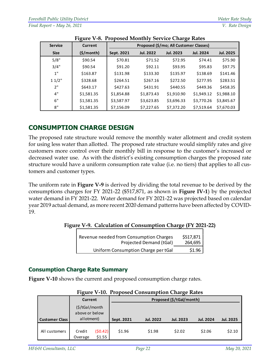<span id="page-31-0"></span>

| <b>Service</b> | -2000<br>Current | $    -$    | Proposed (\$/mo; All Customer Classes) |                  |                  |                  |  |  |
|----------------|------------------|------------|----------------------------------------|------------------|------------------|------------------|--|--|
| <b>Size</b>    | (S/month)        | Sept. 2021 | <b>Jul. 2022</b>                       | <b>Jul. 2023</b> | <b>Jul. 2024</b> | <b>Jul. 2025</b> |  |  |
| 5/8"           | \$90.54          | \$70.81    | \$71.52                                | \$72.95          | \$74.41          | \$75.90          |  |  |
| 3/4"           | \$90.54          | \$91.20    | \$92.11                                | \$93.95          | \$95.83          | \$97.75          |  |  |
| 1"             | \$163.87         | \$131.98   | \$133.30                               | \$135.97         | \$138.69         | \$141.46         |  |  |
| 11/2"          | \$328.68         | \$264.51   | \$267.16                               | \$272.50         | \$277.95         | \$283.51         |  |  |
| 2"             | \$643.17         | \$427.63   | \$431.91                               | \$440.55         | \$449.36         | \$458.35         |  |  |
| 4"             | \$1,581.35       | \$1,854.88 | \$1,873.43                             | \$1,910.90       | \$1,949.12       | \$1,988.10       |  |  |
| 6"             | \$1,581.35       | \$3,587.97 | \$3,623.85                             | \$3,696.33       | \$3,770.26       | \$3,845.67       |  |  |
| 8"             | \$1,581.35       | \$7,156.09 | \$7,227.65                             | \$7,372.20       | \$7,519.64       | \$7,670.03       |  |  |

| Figure V-8. Proposed Monthly Service Charge Rates |
|---------------------------------------------------|
|---------------------------------------------------|

### **CONSUMPTION CHARGE DESIGN**

The proposed rate structure would remove the monthly water allotment and credit system for using less water than allotted. The proposed rate structure would simplify rates and give customers more control over their monthly bill in response to the customer's increased or decreased water use. As with the district's existing consumption charges the proposed rate structure would have a uniform consumption rate value (i.e. no tiers) that applies to all customers and customer types.

The uniform rate in **Figure V-9** is derived by dividing the total revenue to be derived by the consumptions charges for FY 2021-22 (\$517,871, as shown in **Figure IV-1**) by the projected water demand in FY 2021-22. Water demand for FY 2021-22 was projected based on calendar year 2019 actual demand, as more recent 2020 demand patterns have been affected by COVID-19.

<span id="page-31-1"></span>**Figure V-9. Calculation of Consumption Charge (FY 2021-22)**

| Revenue needed from Consumption Charges<br>Projected Demand (tGal) | \$517,871<br>264,695 |
|--------------------------------------------------------------------|----------------------|
| Uniform Consumption Charge per tGal                                | \$1.96               |

#### **Consumption Charge Rate Summary**

**Figure V-10** shows the current and proposed consumption charge rates.

<span id="page-31-2"></span>

|                       | Current                                                 |                   | Proposed (\$/tGal/month) |                  |                  |                  |                  |  |  |  |  |
|-----------------------|---------------------------------------------------------|-------------------|--------------------------|------------------|------------------|------------------|------------------|--|--|--|--|
| <b>Customer Class</b> | $(\frac{\xi}{tGaI/mol}$<br>above or below<br>allotment) |                   | Sept. 2021               | <b>Jul. 2022</b> | <b>Jul. 2023</b> | <b>Jul. 2024</b> | <b>Jul. 2025</b> |  |  |  |  |
| All customers         | Credit<br>Overage                                       | (50.42)<br>\$1.55 | \$1.96                   | \$1.98           | \$2.02           | \$2.06           | \$2.10           |  |  |  |  |

| <b>Figure V-10. Proposed Consumption Charge Rates</b> |  |  |  |
|-------------------------------------------------------|--|--|--|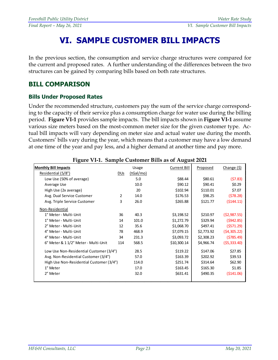## **VI. SAMPLE CUSTOMER BILL IMPACTS**

In the previous section, the consumption and service charge structures were compared for the current and proposed rates. A further understanding of the differences between the two structures can be gained by comparing bills based on both rate structures.

#### **BILL COMPARISON**

#### **Bills Under Proposed Rates**

Under the recommended structure, customers pay the sum of the service charge corresponding to the capacity of their service plus a consumption charge for water use during the billing period. **Figure VI-1** provides sample impacts. The bill impacts shown in **Figure VI-1** assume various size meters based on the most-common meter size for the given customer type. Actual bill impacts will vary depending on meter size and actual water use during the month. Customers' bills vary during the year, which means that a customer may have a low demand at one time of the year and pay less, and a higher demand at another time and pay more.

<span id="page-32-0"></span>

|                                          | Figure VI-1. Sample Customer Bills as of August 2021 |           |                     |                 |              |  |  |  |  |  |  |  |  |
|------------------------------------------|------------------------------------------------------|-----------|---------------------|-----------------|--------------|--|--|--|--|--|--|--|--|
| <b>Monthly Bill Impacts</b>              |                                                      | Usage     | <b>Current Bill</b> | <b>Proposed</b> | Change (\$)  |  |  |  |  |  |  |  |  |
| Residential (5/8")                       | <b>DUs</b>                                           | (tGal/mo) |                     |                 |              |  |  |  |  |  |  |  |  |
| Low Use (50% of average)                 |                                                      | 5.0       | \$88.44             | \$80.61         | (57.83)      |  |  |  |  |  |  |  |  |
| Average Use                              |                                                      | 10.0      | \$90.12             | \$90.41         | \$0.29       |  |  |  |  |  |  |  |  |
| High Use (2x average)                    |                                                      | 20        | \$102.94            | \$110.01        | \$7.07       |  |  |  |  |  |  |  |  |
| Avg. Dual Service Customer               | 2                                                    | 14.0      | \$176.53            | \$98.25         | (578.28)     |  |  |  |  |  |  |  |  |
| Avg. Triple Service Customer             | 3                                                    | 26.0      | \$265.88            | \$121.77        | (5144.11)    |  |  |  |  |  |  |  |  |
| Non-Residential                          |                                                      |           |                     |                 |              |  |  |  |  |  |  |  |  |
| 1" Meter - Multi-Unit                    | 36                                                   | 40.3      | \$3,198.52          | \$210.97        | (52,987.55)  |  |  |  |  |  |  |  |  |
| 1" Meter - Multi-Unit                    | 14                                                   | 101.0     | \$1,272.79          | \$329.94        | (5942.85)    |  |  |  |  |  |  |  |  |
| 2" Meter - Multi-Unit                    | 12                                                   | 35.6      | \$1,068.70          | \$497.41        | (5571.29)    |  |  |  |  |  |  |  |  |
| 4" Meter - Multi-Unit                    | 78                                                   | 468.9     | \$7,079.15          | \$2,773.92      | (54, 305.22) |  |  |  |  |  |  |  |  |
| 4" Meter - Multi-Unit                    | 34                                                   | 231.3     | \$3,093.72          | \$2,308.23      | (5785.49)    |  |  |  |  |  |  |  |  |
| 6" Meter & 11/2" Meter - Multi-Unit      | 114                                                  | 568.5     | \$10,300.14         | \$4,966.74      | (55, 333.40) |  |  |  |  |  |  |  |  |
| Low Use Non-Residential Customer (3/4")  |                                                      | 28.5      | \$119.22            | \$147.06        | \$27.85      |  |  |  |  |  |  |  |  |
| Avg. Non-Residential Customer (3/4")     |                                                      | 57.0      | \$163.39            | \$202.92        | \$39.53      |  |  |  |  |  |  |  |  |
| High Use Non-Residential Customer (3/4") |                                                      | 114.0     | \$251.74            | \$314.64        | \$62.90      |  |  |  |  |  |  |  |  |
| 1" Meter                                 |                                                      | 17.0      | \$163.45            | \$165.30        | \$1.85       |  |  |  |  |  |  |  |  |
| 2" Meter                                 |                                                      | 32.0      | \$631.41            | \$490.35        | ( \$141.06)  |  |  |  |  |  |  |  |  |
|                                          |                                                      |           |                     |                 |              |  |  |  |  |  |  |  |  |

**Figure VI-1. Sample Customer Bills as of August 2021**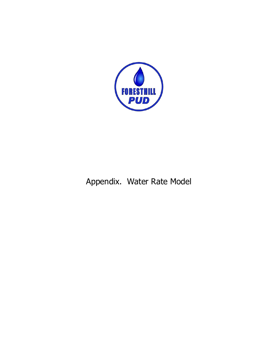

## Appendix. Water Rate Model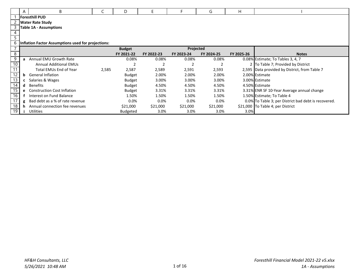|    | A | B                                                  |       | D               |            |                | G          | н          |                                                      |
|----|---|----------------------------------------------------|-------|-----------------|------------|----------------|------------|------------|------------------------------------------------------|
|    |   | <b>Foresthill PUD</b>                              |       |                 |            |                |            |            |                                                      |
|    |   | <b>Water Rate Study</b>                            |       |                 |            |                |            |            |                                                      |
|    |   | <b>Table 1A - Assumptions</b>                      |       |                 |            |                |            |            |                                                      |
|    |   |                                                    |       |                 |            |                |            |            |                                                      |
|    |   |                                                    |       |                 |            |                |            |            |                                                      |
| 6  |   | Inflation Factor Assumptions used for projections: |       |                 |            |                |            |            |                                                      |
|    |   |                                                    |       |                 |            |                |            |            |                                                      |
| 8  |   |                                                    |       | FY 2021-22      | FY 2022-23 | FY 2023-24     | FY 2024-25 | FY 2025-26 | <b>Notes</b>                                         |
| 9  | a | Annual EMU Growth Rate                             |       | 0.08%           | 0.08%      | 0.08%          | 0.08%      |            | 0.08% Estimate; To Tables 3, 4, 7                    |
|    |   | <b>Annual Additional EMUs</b>                      |       |                 |            | $\overline{2}$ |            |            | 2 To Table 7; Provided by District                   |
|    |   | Total EMUs End of Year                             | 2,585 | 2,587           | 2,589      | 2,591          | 2,593      |            | 2,595 Data provided by District, from Table 7        |
| 12 | b | <b>General Inflation</b>                           |       | <b>Budget</b>   | 2.00%      | 2.00%          | 2.00%      |            | 2.00% Estimate                                       |
| 13 | c | Salaries & Wages                                   |       | <b>Budget</b>   | 3.00%      | 3.00%          | 3.00%      |            | 3.00% Estimate                                       |
| 14 | d | Benefits                                           |       | <b>Budget</b>   | 4.50%      | 4.50%          | 4.50%      |            | 4.50% Estimate                                       |
| 15 |   | <b>e</b> Construction Cost Inflation               |       | <b>Budget</b>   | 3.31%      | 3.31%          | 3.31%      |            | 3.31% ENR SF 10-Year Average annual change           |
| 16 |   | Interest on Fund Balance                           |       | 1.50%           | 1.50%      | 1.50%          | 1.50%      |            | 1.50% Estimate; To Table 4                           |
|    | g | Bad debt as a % of rate revenue                    |       | 0.0%            | 0.0%       | 0.0%           | 0.0%       |            | 0.0% To Table 3; per District bad debt is recovered. |
| 18 | h | Annual connection fee revenues                     |       | \$21,000        | \$21,000   | \$21,000       | \$21,000   |            | \$21,000 To Table 4; per District                    |
| 19 |   | <b>Utilities</b>                                   |       | <b>Budgeted</b> | 3.0%       | 3.0%           | 3.0%       | 3.0%       |                                                      |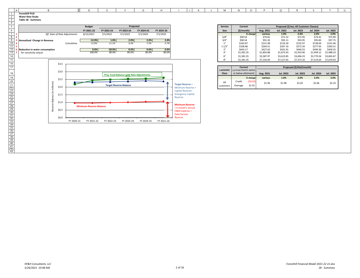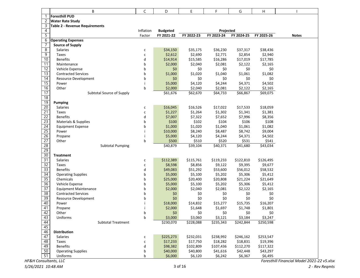|                 | B                              | C            | D               | E          | F          | G          | Н          |              |
|-----------------|--------------------------------|--------------|-----------------|------------|------------|------------|------------|--------------|
| 1               | <b>Foresthill PUD</b>          |              |                 |            |            |            |            |              |
| 2               | <b>Water Rate Study</b>        |              |                 |            |            |            |            |              |
| 3               | Table 2 - Revenue Requirements |              |                 |            |            |            |            |              |
| $\overline{4}$  |                                | Inflation    | <b>Budgeted</b> |            | Projected  |            |            |              |
| $\overline{5}$  |                                | Factor       | FY 2021-22      | FY 2022-23 | FY 2023-24 | FY 2024-25 | FY 2025-26 | <b>Notes</b> |
| 6               | <b>Operating Expenses</b>      |              |                 |            |            |            |            |              |
| 7               | <b>Source of Supply</b>        |              |                 |            |            |            |            |              |
| 8               | Salaries                       | С            | \$34,150        | \$35,175   | \$36,230   | \$37,317   | \$38,436   |              |
| 9               | Taxes                          | $\mathsf{C}$ | \$2,612         | \$2,690    | \$2,771    | \$2,854    | \$2,940    |              |
| 10              | <b>Benefits</b>                | d            | \$14,914        | \$15,585   | \$16,286   | \$17,019   | \$17,785   |              |
| 11              | Maintenance                    | b            | \$2,000         | \$2,040    | \$2,081    | \$2,122    | \$2,165    |              |
| 12              | Vehicle Expense                | b            | \$0             | \$0        | \$0        | \$0        | \$0        |              |
| 13              | <b>Contracted Services</b>     | b            | \$1,000         | \$1,020    | \$1,040    | \$1,061    | \$1,082    |              |
| 14              | <b>Resource Development</b>    | b            | \$0             | \$0        | \$0        | \$0        | \$0        |              |
| 15              | Power                          | i            | \$5,000         | \$4,120    | \$4,244    | \$4,371    | \$4,502    |              |
| 16              | Other                          | b            | \$2,000         | \$2,040    | \$2,081    | \$2,122    | \$2,165    |              |
| $\overline{17}$ | Subtotal Source of Supply      |              | \$61,676        | \$62,670   | \$64,733   | \$66,867   | \$69,075   |              |
| 18              |                                |              |                 |            |            |            |            |              |
| 19              | <b>Pumping</b>                 |              |                 |            |            |            |            |              |
| 20              | <b>Salaries</b>                | С            | \$16,045        | \$16,526   | \$17,022   | \$17,533   | \$18,059   |              |
| 21              | <b>Taxes</b>                   | $\mathsf{C}$ | \$1,227         | \$1,264    | \$1,302    | \$1,341    | \$1,381    |              |
| 22              | <b>Benefits</b>                | d            | \$7,007         | \$7,322    | \$7,652    | \$7,996    | \$8,356    |              |
| 23              | Materials & Supplies           | b            | \$100           | \$102      | \$104      | \$106      | \$108      |              |
| 24              | <b>Equipment Expense</b>       | b            | \$1,000         | \$1,020    | \$1,040    | \$1,061    | \$1,082    |              |
| 25              | Power                          | i.           | \$10,000        | \$8,240    | \$8,487    | \$8,742    | \$9,004    |              |
| 26              | Propane                        | i            | \$5,000         | \$4,120    | \$4,244    | \$4,371    | \$4,502    |              |
| 27              | Other                          | b            | \$500           | \$510      | \$520      | \$531      | \$541      |              |
| 28              | <b>Subtotal Pumping</b>        |              | \$40,879        | \$39,104   | \$40,371   | \$41,680   | \$43,034   |              |
| 29              |                                |              |                 |            |            |            |            |              |
| 30              | <b>Treatment</b>               |              |                 |            |            |            |            |              |
| 31              | <b>Salaries</b>                | с            | \$112,389       | \$115,761  | \$119,233  | \$122,810  | \$126,495  |              |
| 32              | <b>Taxes</b>                   | C            | \$8,598         | \$8,856    | \$9,122    | \$9,395    | \$9,677    |              |
| 33              | <b>Benefits</b>                | d            | \$49,083        | \$51,292   | \$53,600   | \$56,012   | \$58,532   |              |
| 34              | <b>Operating Supplies</b>      | b            | \$5,000         | \$5,100    | \$5,202    | \$5,306    | \$5,412    |              |
| 35              | Chemicals                      | b            | \$25,000        | \$20,400   | \$20,808   | \$21,224   | \$21,649   |              |
| 36              | Vehicle Expense                | b            | \$5,000         | \$5,100    | \$5,202    | \$5,306    | \$5,412    |              |
| 37              | <b>Equipment Maintenance</b>   | b            | \$2,000         | \$2,040    | \$2,081    | \$2,122    | \$2,165    |              |
| 38              | <b>Contracted Services</b>     | b            | \$0             | \$0        | \$0        | \$0        | \$0        |              |
| 39              | Resource Development           | b            | \$0             | \$0        | \$0        | \$0        | \$0        |              |
| 40              | Power                          |              | \$18,000        | \$14,832   | \$15,277   | \$15,735   | \$16,207   |              |
| 41              | Propane                        | i            | \$2,000         | \$1,648    | \$1,697    | \$1,748    | \$1,801    |              |
| 42              | Other                          | D            | \$0             | \$0        | \$0        | \$0        | \$0        |              |
| 43              | Uniforms                       | b            | \$3,000         | \$3,060    | \$3,121    | \$3,184    | \$3,247    |              |
| 44              | <b>Subtotal Treatment</b>      |              | \$230,070       | \$228,088  | \$235,343  | \$242,844  | \$250,598  |              |
| 45              |                                |              |                 |            |            |            |            |              |
| 46              | <b>Distribution</b>            |              |                 |            |            |            |            |              |
| 47              | <b>Salaries</b>                | с            | \$225,273       | \$232,031  | \$238,992  | \$246,162  | \$253,547  |              |
| 48              | Taxes                          | C            | \$17,233        | \$17,750   | \$18,282   | \$18,831   | \$19,396   |              |
| 49              | <b>Benefits</b>                | d            | \$98,382        | \$102,809  | \$107,436  | \$112,270  | \$117,322  |              |
| 50              | <b>Operating Supplies</b>      | b            | \$40,000        | \$40,800   | \$41,616   | \$42,448   | \$43,297   |              |
| 51              | Uniforms                       | b            | \$6,000         | \$6,120    | \$6,242    | \$6,367    | \$6,495    |              |

*Foresthill Financial Model 2021‐22 v5.xlsx*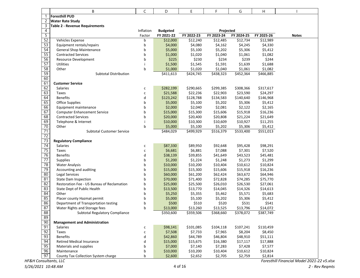|                | B                                          | C            | D                   | Ε                   | F                   | G          | Н          |              |
|----------------|--------------------------------------------|--------------|---------------------|---------------------|---------------------|------------|------------|--------------|
|                | <b>Foresthill PUD</b>                      |              |                     |                     |                     |            |            |              |
| $\overline{2}$ | <b>Water Rate Study</b>                    |              |                     |                     |                     |            |            |              |
| 3              | Table 2 - Revenue Requirements             |              |                     |                     |                     |            |            |              |
| 4              |                                            | Inflation    | <b>Budgeted</b>     |                     | Projected           |            |            |              |
| $\overline{5}$ |                                            | Factor       | FY 2021-22          | FY 2022-23          | FY 2023-24          | FY 2024-25 | FY 2025-26 | <b>Notes</b> |
| 52             | Vehicles Expense                           | b            | \$12,000            | \$12,240            | \$12,485            | \$12,734   | \$12,989   |              |
| 53             | Equipment rentals/repairs                  | b            | \$4,000             | \$4,080             | \$4,162             | \$4,245    | \$4,330    |              |
| 54             | <b>General Shop Maintenance</b>            | b            | \$5,000             | \$5,100             | \$5,202             | \$5,306    | \$5,412    |              |
| 55             | <b>Contracted Services</b>                 | b            | \$1,000             | \$1,020             | \$1,040             | \$1,061    | \$1,082    |              |
| 56             | <b>Resource Development</b>                | b            | \$225               | \$230               | \$234               | \$239      | \$244      |              |
| 57             | Utilities                                  | j.           | \$1,500             | \$1,545             | \$1,591             | \$1,639    | \$1,688    |              |
| 58             | Other                                      | b            | \$1,000             | \$1,020             | \$1,040             | \$1,061    | \$1,082    |              |
| 59             | <b>Subtotal Distribution</b>               |              | \$411,613           | \$424,745           | \$438,323           | \$452,364  | \$466,885  |              |
| 60             |                                            |              |                     |                     |                     |            |            |              |
| 61             | <b>Customer Service</b>                    |              |                     |                     |                     |            |            |              |
| 62             | Salaries                                   | C            | \$282,199           | \$290,665           | \$299,385           | \$308,366  | \$317,617  |              |
| 63             | Taxes                                      | $\mathsf{C}$ | \$21,588            | \$22,236            | \$22,903            | \$23,590   | \$24,297   |              |
| 64             | <b>Benefits</b>                            | d            | \$123,242           | \$128,788           | \$134,583           | \$140,640  | \$146,968  |              |
| 65             | <b>Office Supplies</b>                     | b            | \$5,000             | \$5,100             | \$5,202             | \$5,306    | \$5,412    |              |
| 66             | Equipment maintenance                      | b            | \$2,000             | \$2,040             | \$2,081             | \$2,122    | \$2,165    |              |
| 67             | <b>Computer Enhancement Service</b>        | b            | \$15,000            | \$15,300            | \$15,606            | \$15,918   | \$16,236   |              |
| 68             | <b>Contracted Services</b>                 | b            | \$20,000            | \$20,400            | \$20,808            | \$21,224   | \$21,649   |              |
| 69             | Telephone & Internet                       | j.           | \$10,000            | \$10,300            | \$10,609            | \$10,927   | \$11,255   |              |
| 70             | Other                                      | b            | \$5,000             | \$5,100             | \$5,202             | \$5,306    | \$5,412    |              |
| 71             | <b>Subtotal Customer Service</b>           |              | \$484,029           | \$499,929           | \$516,379           | \$533,400  | \$551,013  |              |
| 72             |                                            |              |                     |                     |                     |            |            |              |
| 73             | <b>Regulatory Compliance</b>               |              |                     |                     |                     |            |            |              |
| 74             | <b>Salaries</b>                            | C            | \$87,330            | \$89,950            | \$92,648            | \$95,428   | \$98,291   |              |
| 75             | Taxes                                      | $\mathsf{C}$ | \$6,681             | \$6,881             | \$7,088             | \$7,301    | \$7,520    |              |
| 76             | <b>Benefits</b>                            | d            | \$38,139            | \$39,855            | \$41,649            | \$43,523   | \$45,481   |              |
| 77             | Supplies                                   | b            | \$1,200             | \$1,224             | \$1,248             | \$1,273    | \$1,299    |              |
| 78             | <b>Water Analysis</b>                      | b            | \$10,000            | \$10,200            | \$10,404            | \$10,612   | \$10,824   |              |
| 79             | Accounting and auditing                    | b            | \$15,000            | \$15,300            | \$15,606            | \$15,918   | \$16,236   |              |
| 80             | <b>Legal Services</b>                      | b            | \$60,000            | \$61,200            | \$62,424            | \$63,672   | \$64,946   |              |
| 81             | <b>State Dam Inspection</b>                | b            | \$70,000            | \$71,400            | \$72,828            | \$74,285   | \$75,770   |              |
| 82             | Restoration Fee - US Bureau of Reclamation | b            | \$25,000            | \$25,500            | \$26,010            | \$26,530   | \$27,061   |              |
| 83             | State Dept of Public Health                | b            | \$13,500            | \$13,770            | \$14,045            | \$14,326   | \$14,613   |              |
| 84             | Other                                      | b            | \$5,250             | \$5,355             | \$5,462             | \$5,571    | \$5,683    |              |
| 85             | Placer county Hazmat permit                | b            | \$5,000             | \$5,100             | \$5,202             | \$5,306    | \$5,412    |              |
| 86             | Department of Transportation testing       | b            | \$500               | \$510               | \$520               | \$531      | \$541      |              |
| 87             | Water Rights and Storage fees              | b            | \$13,000            | \$13,260            | \$13,525            | \$13,796   | \$14,072   |              |
| 88             | Subtotal Regulatory Compliance             |              | \$350,600           | \$359,506           | \$368,660           | \$378,072  | \$387,749  |              |
| 89             |                                            |              |                     |                     |                     |            |            |              |
| 90<br>91       | <b>Management and Administration</b>       |              |                     |                     |                     | \$107,241  | \$110,459  |              |
| 92             | <b>Salaries</b><br>Taxes                   | С            | \$98,141            | \$101,085           | \$104,118           |            |            |              |
| 93             | <b>Benefits</b>                            | C            | \$7,508             | \$7,733             | \$7,965<br>\$46,804 | \$8,204    | \$8,450    |              |
| 94             | <b>Retired Medical Insurance</b>           | d<br>d       | \$42,860            | \$44,789            |                     | \$48,910   | \$51,111   |              |
| 95             |                                            |              | \$15,000            | \$15,675<br>\$7,140 | \$16,380            | \$17,117   | \$17,888   |              |
| 96             | Materials and supplies<br>Maintenance      | b            | \$7,000<br>\$10,000 | \$10,200            | \$7,283<br>\$10,404 | \$7,428    | \$7,577    |              |
| 97             |                                            | b            |                     |                     |                     | \$10,612   | \$10,824   |              |
|                | County Tax Collection System charge        | b            | \$2,600             | \$2,652             | \$2,705             | \$2,759    | \$2,814    |              |

*HF&H Consultants, LLC*

*Foresthill Financial Model 2021‐22 v5.xlsx*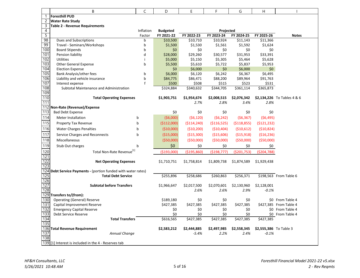|                | В                                                         | C            | D                  | E                  | F                 | G                  | Η                           |                        |
|----------------|-----------------------------------------------------------|--------------|--------------------|--------------------|-------------------|--------------------|-----------------------------|------------------------|
| 1              | <b>Foresthill PUD</b>                                     |              |                    |                    |                   |                    |                             |                        |
| 2              | <b>Water Rate Study</b>                                   |              |                    |                    |                   |                    |                             |                        |
| 3              | Table 2 - Revenue Requirements                            |              |                    |                    |                   |                    |                             |                        |
| $\overline{4}$ |                                                           | Inflation    | <b>Budgeted</b>    |                    | Projected         |                    |                             |                        |
| $\overline{5}$ |                                                           | Factor       | FY 2021-22         | FY 2022-23         | FY 2023-24        | FY 2024-25         | FY 2025-26                  | <b>Notes</b>           |
| 98             | Dues and Subscriptions                                    | b            | \$10,500           | \$10,710           | \$10,924          | \$11,143           | \$11,366                    |                        |
| 99             | Travel - Seminars/Workshops                               | b<br>b       | \$1,500            | \$1,530            | \$1,561           | \$1,592            | \$1,624                     |                        |
| 100            | <b>Board Stipends</b>                                     |              | \$0                | \$0                | \$0               | \$0                | \$0                         |                        |
| 101            | Pension liability                                         | d            | \$28,000           | \$29,260           | \$30,577          | \$31,953           | \$33,391                    |                        |
| 102            | Utilities                                                 | j.           | \$5,000            | \$5,150            | \$5,305           | \$5,464            | \$5,628                     |                        |
| 103<br>104     | <b>Other General Expense</b>                              | b            | \$5,500            | \$5,610            | \$5,722           | \$5,837            | \$5,953                     |                        |
|                | <b>Election Expense</b>                                   |              | \$0                | \$6,000            | \$0               | \$6,000            | \$0                         |                        |
| 105<br>106     | Bank Analysis/other fees                                  | b<br>b       | \$6,000            | \$6,120            | \$6,242           | \$6,367            | \$6,495                     |                        |
| 107            | Liability and vehicle insurance<br>Interest expense       | $\mathsf{f}$ | \$84,775           | \$86,471           | \$88,200<br>\$515 | \$89,964           | \$91,763<br>\$531           |                        |
| 108            | Subtotal Maintenance and Administration                   |              | \$500<br>\$324,884 | \$508<br>\$340,632 | \$344,705         | \$523<br>\$361,114 | \$365,873                   |                        |
| 109            |                                                           |              |                    |                    |                   |                    |                             |                        |
| 110            | <b>Total Operating Expenses</b>                           | \$1,903,751  | \$1,954,674        | \$2,008,515        | \$2,076,342       |                    | \$2,134,226 To Tables 4 & 6 |                        |
| 111            |                                                           |              | 2.7%               | 2.8%               | 3.4%              | 2.8%               |                             |                        |
| 112            | Non-Rate (Revenue)/Expense                                |              |                    |                    |                   |                    |                             |                        |
| 113            | <b>Bad Debt Expense</b>                                   |              | \$0                | \$0                | \$0               | \$0                | \$0                         |                        |
| 114            | <b>Meter Installation</b>                                 | b            | (56,000)           | (56, 120)          | (56, 242)         | (56, 367)          | (56, 495)                   |                        |
| 115            | Property Tax Revenue                                      | b            | ( \$112,000)       | ( \$114, 240)      | ( \$116, 525)     | ( \$118, 855)      | (5121, 232)                 |                        |
| 116            |                                                           |              |                    |                    |                   |                    |                             |                        |
|                | <b>Water Charges Penalties</b>                            | b            | ( \$10,000)        | ( \$10,200)        | ( \$10,404)       | (510, 612)         | (510, 824)                  |                        |
| 117            | Service Charges and Reconnects                            | b            | ( \$15,000)        | ( \$15,300)        | ( \$15,606)       | (515,918)          | ( \$16, 236)                |                        |
| 118            | Miscellaneous                                             |              | ( \$50,000)        | ( \$50,000)        | ( \$50,000)       | ( \$50,000)        | ( \$50,000)                 |                        |
| 119            | Stub Out charges                                          | b            | \$0                | \$0                | \$0               | \$0                | \$0                         |                        |
| 120            | Total Non-Rate Revenue <sup>[1]</sup>                     |              | ( \$193,000]       | ( \$195, 860)      | ( \$198, 777)     | ( \$201,753)       | ( \$204, 788)               |                        |
| 121            |                                                           |              |                    |                    |                   |                    |                             |                        |
| 122            | <b>Net Operating Expenses</b>                             |              | \$1,710,751        | \$1,758,814        | \$1,809,738       | \$1,874,589        | \$1,929,438                 |                        |
| 123            |                                                           |              |                    |                    |                   |                    |                             |                        |
| 124            | Debt Service Payments - (portion funded with water rates) |              |                    |                    |                   |                    |                             |                        |
| 125            | <b>Total Debt Service</b>                                 |              | \$255,896          | \$258,686          | \$260,863         | \$256,371          |                             | \$198,563 From Table 6 |
| 126<br>127     |                                                           |              |                    |                    |                   |                    |                             |                        |
| 128            | <b>Subtotal before Transfers</b>                          |              | \$1,966,647        | \$2,017,500        | \$2,070,601       | \$2,130,960        | \$2,128,001                 |                        |
| 129            | Transfers to/(from):                                      |              |                    | 2.6%               | 2.6%              | 2.9%               | $-0.1%$                     |                        |
| 130            | <b>Operating (General) Reserve</b>                        |              | \$189,180          | \$0                | \$0               | \$0                |                             | \$0 From Table 4       |
| 131            | Capital Improvement Reserve                               |              | \$427,385          | \$427,385          | \$427,385         | \$427,385          |                             | \$427,385 From Table 4 |
| 132            | <b>Emergency Capital Reserve</b>                          |              | \$0                | \$0                | \$0               | \$0                |                             | \$0 From Table 4       |
| 133            | Debt Service Reserve                                      | \$0          | \$0                | \$0                | \$0               |                    | \$0 From Table 4            |                        |
| 134            | <b>Total Transfers</b>                                    |              | \$616,565          | \$427,385          | \$427,385         | \$427,385          | \$427,385                   |                        |
| 135            |                                                           |              |                    |                    |                   |                    |                             |                        |
|                | 136 Total Revenue Requirement                             |              | \$2,583,212        | \$2,444,885        | \$2,497,985       | \$2,558,345        | \$2,555,386 To Table 3      |                        |
| 137            | Annual Change                                             |              |                    | $-5.4%$            | 2.2%              | 2.4%               | $-0.1%$                     |                        |
| 138            |                                                           |              |                    |                    |                   |                    |                             |                        |
|                | 139 [1] Interest is included in the 4 - Reserves tab      |              |                    |                    |                   |                    |                             |                        |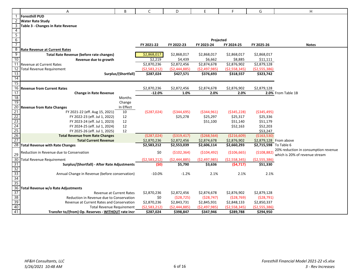|                                                                                                                           | Α                                                              | B                   | C              | D              | E                       | F                    | G                      | H                                    |
|---------------------------------------------------------------------------------------------------------------------------|----------------------------------------------------------------|---------------------|----------------|----------------|-------------------------|----------------------|------------------------|--------------------------------------|
|                                                                                                                           | <b>Foresthill PUD</b>                                          |                     |                |                |                         |                      |                        |                                      |
| 2                                                                                                                         | <b>Water Rate Study</b>                                        |                     |                |                |                         |                      |                        |                                      |
| $\overline{3}$                                                                                                            | Table 3 - Changes in Rate Revenue                              |                     |                |                |                         |                      |                        |                                      |
| $\overline{4}$                                                                                                            |                                                                |                     |                |                |                         |                      |                        |                                      |
| $\overline{5}$                                                                                                            |                                                                |                     |                |                |                         |                      |                        |                                      |
| $\frac{6}{7}$                                                                                                             |                                                                |                     | FY 2021-22     | FY 2022-23     | Projected<br>FY 2023-24 | FY 2024-25           | FY 2025-26             | <b>Notes</b>                         |
| $\overline{8}$                                                                                                            | <b>Rate Revenue at Current Rates</b>                           |                     |                |                |                         |                      |                        |                                      |
| 9                                                                                                                         | <b>Total Rate Revenue (before rate changes)</b>                |                     | \$2,868,017    | \$2,868,017    | \$2,868,017             | \$2,868,017          | \$2,868,017            |                                      |
| 10                                                                                                                        | Revenue due to growth                                          |                     | \$2,219        | \$4,439        | \$6,662                 | \$8,885              | \$11,111               |                                      |
| $\overline{11}$                                                                                                           | <b>Revenue at Current Rates</b>                                |                     | \$2,870,236    | \$2,872,456    | $\overline{$}2,874,678$ | \$2,876,902          | \$2,879,128            |                                      |
| 12                                                                                                                        | <b>Total Revenue Requirement</b>                               |                     | ( \$2,583,212) | ( \$2,444,885) | ( \$2,497,985)          | ( \$2,558,345)       | ( \$2,555,386)         |                                      |
| 13                                                                                                                        |                                                                | Surplus/(Shortfall) | \$287,024      | \$427,571      | \$376,693               | \$318,557            | \$323,742              |                                      |
| 14                                                                                                                        |                                                                |                     |                |                |                         |                      |                        |                                      |
| 15                                                                                                                        |                                                                |                     |                |                |                         |                      |                        |                                      |
| 16                                                                                                                        | <b>Revenue from Current Rates</b>                              |                     | \$2,870,236    | \$2,872,456    | \$2,874,678             | \$2,876,902          | \$2,879,128            |                                      |
| 17                                                                                                                        | <b>Change in Rate Revenue</b>                                  |                     | $-12.0%$       | 1.0%           | 2.0%                    | 2.0%                 |                        | 2.0% From Table 1B                   |
| $\frac{18}{19}$                                                                                                           |                                                                | Months              |                |                |                         |                      |                        |                                      |
|                                                                                                                           |                                                                | Change              |                |                |                         |                      |                        |                                      |
| 20                                                                                                                        | <b>Revenue from Rate Changes</b>                               | In Effect           |                |                |                         |                      |                        |                                      |
| 21                                                                                                                        | FY 2021-22 (eff. Aug 15, 2021)                                 | 10                  | (5287,024)     | ( \$344, 695)  | ( \$344, 961)           | ( \$345, 228)        | ( \$345,495)           |                                      |
|                                                                                                                           | FY 2022-23 (eff. Jul 1, 2022)<br>FY 2023-24 (eff. Jul 1, 2023) | 12<br>12            |                | \$25,278       | \$25,297<br>\$51,100    | \$25,317<br>\$51,140 | \$25,336<br>\$51,179   |                                      |
|                                                                                                                           | FY 2024-25 (eff. Jul 1, 2024)                                  | 12                  |                |                |                         | \$52,163             | \$52,203               |                                      |
|                                                                                                                           | FY 2025-26 (eff. Jul 1, 2025)                                  | 12                  |                |                |                         |                      | \$53,247               |                                      |
| $\begin{array}{r} 22 \\ 23 \\ 24 \\ 25 \\ 26 \end{array}$                                                                 | <b>Total Revenue from Rate Changes</b>                         |                     | ( \$287,024)   | ( \$319, 417)  | ( \$268, 564)           | ( \$216,609)         | (\$163,530)            |                                      |
| 27                                                                                                                        | <b>Total Current Revenue</b>                                   |                     | \$2,870,236    | \$2,872,456    | \$2,874,678             | \$2,876,902          |                        | \$2,879,128 From above               |
|                                                                                                                           | 28 Total Revenue with Rate Changes                             |                     | \$2,583,212    | \$2,553,039    | \$2,606,114             | \$2,660,293          | \$2,715,598 To Table 6 |                                      |
|                                                                                                                           | Reduction in Revenue due to Conservation                       |                     | \$0            | ( \$102, 364)  | ( \$104, 492)           | (\$106,665)          | ( \$108, 882)          | 20% reduction in consumption revenue |
| 29                                                                                                                        |                                                                |                     |                |                |                         |                      |                        | which is 20% of revenue stream       |
| 30                                                                                                                        | <b>Total Revenue Requirement</b>                               | (52, 583, 212)      | (52, 444, 885) | (52, 497, 985) | (52, 558, 345)          | (52, 555, 386)       |                        |                                      |
| $\begin{array}{r} \n \overline{31} \\  \overline{32} \\  \overline{33} \\  \overline{34} \\  \overline{35}\n \end{array}$ | Surplus/(Shortfall) - After Rate Adjustments                   | (\$0)               | \$5,790        | \$3,636        | (\$4,717)               | \$51,330             |                        |                                      |
|                                                                                                                           | Annual Change in Revenue (before conservation)                 | $-10.0%$            | $-1.2%$        | 2.1%           | 2.1%                    | 2.1%                 |                        |                                      |
|                                                                                                                           |                                                                |                     |                |                |                         |                      |                        |                                      |
|                                                                                                                           |                                                                |                     |                |                |                         |                      |                        |                                      |
|                                                                                                                           | 36 Total Revenue w/o Rate Adjustments                          |                     |                |                |                         |                      |                        |                                      |
| $\begin{array}{r} \n \overline{37} \\  \overline{38} \\  \overline{39} \\  \overline{40} \\  \end{array}$                 | <b>Revenue at Current Rates</b>                                | \$2,870,236         | \$2,872,456    | \$2,874,678    | \$2,876,902             | \$2,879,128          |                        |                                      |
|                                                                                                                           | Reduction in Revenue due to Conservation                       | \$0                 | (528, 725)     | (528, 747)     | ( \$28, 769)            | (528, 791)           |                        |                                      |
|                                                                                                                           | Revenue at Current Rates and Conservation                      |                     | \$2,870,236    | \$2,843,731    | \$2,845,931             | \$2,848,133          | \$2,850,337            |                                      |
|                                                                                                                           | <b>Total Revenue Requirement</b>                               |                     | (52, 583, 212) | ( \$2,444,885) | ( \$2,497,985)          | ( \$2,558,345)       | ( \$2,555,386)         |                                      |
| 41                                                                                                                        | Transfer to/(from) Op. Reserves - WITHOUT rate incr            |                     | \$287,024      | \$398,847      | \$347,946               | \$289,788            | \$294,950              |                                      |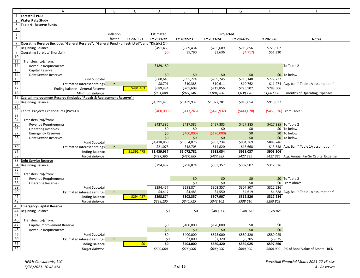|                                                                                                                                                                                  | Α                                                                                               | B           | C           | D                    | E                | F                     | G                     | Η          |                                             |
|----------------------------------------------------------------------------------------------------------------------------------------------------------------------------------|-------------------------------------------------------------------------------------------------|-------------|-------------|----------------------|------------------|-----------------------|-----------------------|------------|---------------------------------------------|
|                                                                                                                                                                                  | <b>Foresthill PUD</b>                                                                           |             |             |                      |                  |                       |                       |            |                                             |
| $\overline{2}$                                                                                                                                                                   | <b>Water Rate Study</b>                                                                         |             |             |                      |                  |                       |                       |            |                                             |
| 3                                                                                                                                                                                | Table 4 - Reserve Funds                                                                         |             |             |                      |                  |                       |                       |            |                                             |
| $\overline{4}$                                                                                                                                                                   |                                                                                                 |             |             |                      |                  |                       |                       |            |                                             |
| $\overline{5}$                                                                                                                                                                   |                                                                                                 | inflation   |             | <b>Estimated</b>     |                  | Projected             |                       |            |                                             |
| $6\overline{6}$                                                                                                                                                                  |                                                                                                 | factor      | FY 2020-21  | FY 2021-22           | FY 2022-23       | FY 2023-24            | FY 2024-25            | FY 2025-26 | <b>Notes</b>                                |
|                                                                                                                                                                                  | Operating Reserve (includes "General Reserve", "General Fund - unrestricted", and "District 2") |             |             |                      |                  |                       |                       |            |                                             |
| 8                                                                                                                                                                                | <b>Beginning Balance</b>                                                                        |             |             | \$491,463            | \$689,434        | \$705,609             | \$719,856             | \$725,902  |                                             |
| $\overline{9}$                                                                                                                                                                   | <b>Operating Surplus/(Shortfall)</b>                                                            |             |             | (50)                 | \$5,790          | \$3,636               | (54, 717)             | \$51,330   |                                             |
| 10                                                                                                                                                                               |                                                                                                 |             |             |                      |                  |                       |                       |            |                                             |
| $\overline{11}$                                                                                                                                                                  | Transfers (to)/from:                                                                            |             |             |                      |                  |                       |                       |            |                                             |
| 12                                                                                                                                                                               | <b>Revenue Requirements</b>                                                                     |             |             | \$189,180            |                  |                       |                       |            | To Table 2                                  |
| $\frac{13}{14}$                                                                                                                                                                  | Capital Reserve                                                                                 |             |             |                      |                  |                       |                       |            |                                             |
|                                                                                                                                                                                  | <b>Debt Service Reserves</b>                                                                    |             |             | \$0                  | \$0              | \$0                   | \$0                   |            | \$0 To below                                |
| $\frac{15}{16}$                                                                                                                                                                  | <b>Fund Subtotal</b>                                                                            |             |             | \$680,643            | \$695,224        | \$709,245             | \$715,140<br>\$10,762 | \$777,232  |                                             |
| 17                                                                                                                                                                               | <b>Estimated interest earnings</b>                                                              | h           | \$491,463   | \$8,791<br>\$689,434 | \$10,385         | \$10,611<br>\$719,856 | \$725,902             | \$788,506  | \$11,274 Avg. bal. * Table 1A assumption f. |
| 18                                                                                                                                                                               | Ending balance - General Reserve                                                                |             |             |                      | \$705,609        |                       |                       |            |                                             |
| 19                                                                                                                                                                               | Minimum Balance<br>Capital Improvement Reserve (includes "Repair & Replacement Reserve")        |             |             | \$951,880            | \$977,340        | \$1,004,260           | \$1,038,170           |            | \$1,067,110 6 months of Operating Expenses  |
| 20                                                                                                                                                                               | <b>Beginning Balance</b>                                                                        |             |             | \$1,391,475          | \$1,439,937      | \$1,072,781           | \$918,054             | \$918,037  |                                             |
| 21                                                                                                                                                                               |                                                                                                 |             |             |                      |                  |                       |                       |            |                                             |
| 22                                                                                                                                                                               | Capital Projects Expenditures (PAYGO)                                                           |             |             | (\$400,000)          | ( \$413, 246)    | (5426, 932)           | (5441,070)            |            | (\$455,676) From Table 5                    |
| 23                                                                                                                                                                               |                                                                                                 |             |             |                      |                  |                       |                       |            |                                             |
|                                                                                                                                                                                  | Transfers (to)/from:                                                                            |             |             |                      |                  |                       |                       |            |                                             |
|                                                                                                                                                                                  | <b>Revenue Requirements</b>                                                                     |             |             | \$427,385            | \$427,385        | \$427,385             | \$427,385             |            | \$427,385 To Table 2                        |
|                                                                                                                                                                                  | <b>Operating Reserves</b>                                                                       |             |             | \$0                  | \$0              | \$0                   | \$0                   |            | \$0 To below                                |
|                                                                                                                                                                                  | <b>Emergency Reserves</b>                                                                       |             |             | \$0                  | (\$400,000)      | (\$170,000)           | \$0                   |            | \$0 To below                                |
|                                                                                                                                                                                  | <b>Debt Service Reserves</b>                                                                    |             |             | \$0                  | \$0              | \$0                   | \$0                   |            | \$0 To below                                |
|                                                                                                                                                                                  | <b>Fund Subtotal</b>                                                                            |             |             | \$1,418,860          | \$1,054,076      | \$903,234             | \$904,369             | \$889,746  |                                             |
|                                                                                                                                                                                  | <b>Estimated interest earnings</b>                                                              | $\mathbf h$ |             | \$21,078             | \$18,705         | \$14,820              | \$13,668              |            | \$13,558 Avg. Bal. * Table 1A assumption f. |
| $\begin{array}{@{}c@{\hspace{1em}}c@{\hspace{1em}}c@{\hspace{1em}}}\n 24 & 25 \\  \hline\n 25 & 26 \\  \hline\n 27 & 28 \\  \hline\n 29 & 30 \\  \hline\n 31 & 32\n \end{array}$ | <b>Ending Balance</b>                                                                           |             | \$1,391,475 | \$1,439,937          | \$1,072,781      | \$918,054             | \$918,037             | \$903,304  |                                             |
|                                                                                                                                                                                  | <b>Target Balance</b>                                                                           |             |             | \$427,385            | \$427,385        | \$427,385             | \$427,385             |            | \$427,385 Avg. Annual PayGo Capital Expense |
| 33                                                                                                                                                                               | <b>Debt Service Reserve</b>                                                                     |             |             |                      |                  |                       |                       |            |                                             |
| 34                                                                                                                                                                               | <b>Beginning Balance</b>                                                                        |             |             | \$294,457            | \$298,874        | \$303,357             | \$307,907             | \$312,526  |                                             |
| 35                                                                                                                                                                               |                                                                                                 |             |             |                      |                  |                       |                       |            |                                             |
| 36                                                                                                                                                                               | Transfers (to)/from:                                                                            |             |             |                      |                  |                       |                       |            |                                             |
| 37<br>38                                                                                                                                                                         | <b>Revenue Requirements</b>                                                                     |             |             |                      | \$0              | \$0                   | \$0                   |            | \$0 To Table 2                              |
|                                                                                                                                                                                  | <b>Operating Reserves</b><br><b>Fund Subtotal</b>                                               |             |             | \$294,457            | \$0<br>\$298,874 | \$0<br>\$303,357      | \$0<br>\$307,907      | \$312,526  | \$0 From above                              |
|                                                                                                                                                                                  | <b>Estimated interest earnings</b>                                                              | $\mathbf h$ |             | \$4,417              | \$4,483          | \$4,550               | \$4,619               |            | \$4,688 Avg. Bal. * Table 1A assumption f.  |
| $\frac{39}{40}$                                                                                                                                                                  | <b>Ending Balance</b>                                                                           |             | \$294,457   | \$298,874            | \$303,357        | \$307,907             | \$312,526             | \$317,214  |                                             |
| 42                                                                                                                                                                               | <b>Target Balance</b>                                                                           |             |             | \$338,135            | \$340,925        | \$343,102             | \$338,610             | \$280,802  |                                             |
|                                                                                                                                                                                  | 43 Emergency Capital Reserve                                                                    |             |             |                      |                  |                       |                       |            |                                             |
|                                                                                                                                                                                  | 44 Beginning Balance                                                                            |             |             | \$0                  | \$0              | \$403,000             | \$580,320             | \$589,025  |                                             |
|                                                                                                                                                                                  |                                                                                                 |             |             |                      |                  |                       |                       |            |                                             |
| $\frac{45}{46}$                                                                                                                                                                  | Transfers (to)/from:                                                                            |             |             |                      |                  |                       |                       |            |                                             |
| 47                                                                                                                                                                               | Capital Improvement Reserve                                                                     |             |             | \$0                  | \$400,000        | \$170,000             | \$0                   | \$0        |                                             |
| 48                                                                                                                                                                               | <b>Revenue Requirements</b>                                                                     |             |             | $$0$$                | \$0              | \$0                   | \$0                   | \$0        |                                             |
|                                                                                                                                                                                  | <b>Fund Subtotal</b>                                                                            |             |             | \$0                  | \$400,000        | \$573,000             | \$580,320             | \$589,025  |                                             |
|                                                                                                                                                                                  | Estimated interest earnings                                                                     | $\mathbf h$ |             | \$0                  | \$3,000          | \$7,320               | \$8,705               | \$8,835    |                                             |
| $\frac{49}{50}$<br>$\frac{50}{51}$<br>$\frac{52}{52}$                                                                                                                            | <b>Ending Balance</b>                                                                           |             | \$0         | \$0                  | \$403,000        | \$580,320             | \$589,025             | \$597,860  |                                             |
|                                                                                                                                                                                  | <b>Target Balance</b>                                                                           |             |             | \$600,000            | \$600,000        | \$600,000             | \$600,000             |            | \$600,000 2% of Book Value of Assets - RCN  |
|                                                                                                                                                                                  |                                                                                                 |             |             |                      |                  |                       |                       |            |                                             |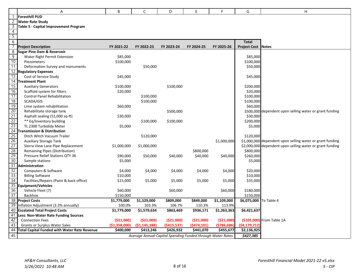|                | A                                                   | B             | C                       | D           | E                                                          | F.            | G                         | $\overline{H}$                                            |
|----------------|-----------------------------------------------------|---------------|-------------------------|-------------|------------------------------------------------------------|---------------|---------------------------|-----------------------------------------------------------|
|                | <b>Foresthill PUD</b>                               |               |                         |             |                                                            |               |                           |                                                           |
| 2              | <b>Water Rate Study</b>                             |               |                         |             |                                                            |               |                           |                                                           |
| 3              | Table 5 - Capital Improvement Program               |               |                         |             |                                                            |               |                           |                                                           |
| 4              |                                                     |               |                         |             |                                                            |               |                           |                                                           |
| $\overline{5}$ |                                                     |               |                         |             |                                                            |               |                           |                                                           |
| 6              |                                                     |               |                         |             |                                                            |               | <b>Total</b>              |                                                           |
|                | <b>Project Description</b>                          | FY 2021-22    | FY 2022-23              | FY 2023-24  | FY 2024-25                                                 | FY 2025-26    | <b>Project Cost Notes</b> |                                                           |
| 8              | <b>Sugar Pine Dam &amp; Reservoir</b>               |               |                         |             |                                                            |               |                           |                                                           |
| $\overline{9}$ | Water Right Permit Extension                        | \$85,000      |                         |             |                                                            |               | \$85,000                  |                                                           |
| 10             | Piezometers                                         | \$100,000     |                         |             |                                                            |               | \$100,000                 |                                                           |
| 11             | Deformation Survey and monuments                    |               | \$50,000                |             |                                                            |               | \$50,000                  |                                                           |
|                | 12 Regulatory Expenses                              |               |                         |             |                                                            |               |                           |                                                           |
| 13             | Cost of Service Study                               | \$45,000      |                         |             |                                                            |               | \$45,000                  |                                                           |
|                | 14 Treatment Plant                                  |               |                         |             |                                                            |               |                           |                                                           |
| 15             | <b>Auxiliary Generators</b>                         | \$100,000     |                         | \$100,000   |                                                            |               | \$200,000                 |                                                           |
| 16             | Scaffold system for filters                         | \$20,000      |                         |             |                                                            |               | \$20,000                  |                                                           |
| 17             | Control Panel Rehabilitation                        |               | \$100,000               |             |                                                            |               | \$100,000                 |                                                           |
| 18             | SCADA/GIS                                           |               | \$100,000               |             |                                                            |               | \$100,000                 |                                                           |
| 19             | Lime system rehabilitation                          | \$60,000      |                         |             |                                                            |               | \$60,000                  |                                                           |
| 20             | Rehabilitate storage tank                           |               |                         | \$500,000   |                                                            |               |                           | \$500,000 dependent upon selling water or grant funding   |
| 21             | Asphalt sealing (51,000 sq-ft)                      | \$30,000      |                         |             |                                                            |               | \$30,000                  |                                                           |
| 22             | ** Eq/Inventory building                            |               | \$100,000               | \$100,000   |                                                            |               | \$200,000                 |                                                           |
| 23             | TL 2300 Turbididy Meter                             | \$5,000       |                         |             |                                                            |               | \$5,000                   |                                                           |
|                | 24 Transmission & Distribution                      |               |                         |             |                                                            |               |                           |                                                           |
| 25             | Ditch Witch Vacuum Trailer                          |               | \$120,000               |             |                                                            |               | \$120,000                 |                                                           |
| 26             | <b>Auxiliary Storage Tank</b>                       |               |                         |             |                                                            | \$1,000,000   |                           | \$1,000,000 dependent upon selling water or grant funding |
| 27             | Sierra View Lane Pipe Replacement                   | \$1,000,000   | \$1,000,000             |             |                                                            |               |                           | \$2,000,000 dependent upon selling water or grant funding |
| 28             | Remaining Pipes (Distribution)                      |               |                         |             | \$800,000                                                  |               | \$800,000                 |                                                           |
| 29             | <b>Pressure Relief Stations QTY 36</b>              | \$90,000      | \$50,000                | \$40,000    | \$40,000                                                   | \$40,000      | \$260,000                 |                                                           |
| 30             | Sample stations                                     | \$5,000       |                         |             |                                                            |               | \$5,000                   |                                                           |
| 31             | Administration                                      |               |                         |             |                                                            |               |                           |                                                           |
| 32             | Computers & Software                                | \$4,000       | \$4,000                 | \$4,000     | \$4,000                                                    | \$4,000       | \$20,000                  |                                                           |
| 33             | <b>Billing Software</b>                             | \$10,000      |                         |             |                                                            |               | \$10,000                  |                                                           |
| 34             | Facilities/Repairs (Paint & back office)            | \$15,000      | \$5,000                 | \$5,000     | \$5,000                                                    | \$5,000       | \$35,000                  |                                                           |
|                | 35 Equipment/Vehicles                               |               |                         |             |                                                            |               |                           |                                                           |
| 36             | Vehicle Fleet (7)                                   | \$60,000      |                         | \$60,000    |                                                            | \$60,000      | \$180,000                 |                                                           |
| 37             | Backhoe                                             | \$150,000     |                         |             |                                                            |               | \$150,000                 |                                                           |
|                | 38 Project Costs                                    | \$1,779,000   | \$1,529,000             | \$809,000   | \$849,000                                                  | \$1,109,000   | \$6,075,000 To Table 4    |                                                           |
|                | 39 Inflation Adjustment (3.3% annually)             | 100.0%        | 103.3%                  | 106.7%      | 110.3%                                                     | 113.9%        |                           |                                                           |
|                | 40 Escalated Total Project Costs                    | \$1,779,000   | $\overline{51,579,634}$ | \$863,469   | \$936,171                                                  | \$1,263,363   | \$6,421,637               |                                                           |
| 41             | Less: Non-Water Rate Funding Sources                |               |                         |             |                                                            |               |                           |                                                           |
| 42             | <b>Connection Fees</b>                              | (\$21,000)    | (\$21,000)              | (\$21,000)  | (\$21,000)                                                 | ( \$21,000]   |                           | (\$105,000) From Table 1A                                 |
| 43             | <b>Grants or Surplus Water Sales</b>                | (\$1,358,000) | (51, 145, 388)          | (5415, 537) | (5474, 101)                                                | ( \$786, 686] | (54, 179, 712)            |                                                           |
| 44             | <b>Total Capital Funded with Water Rate Revenue</b> | \$400,000     | \$413,246               | \$426,932   | \$441,070                                                  | \$455,677     | \$2,136,925               |                                                           |
| 45             |                                                     |               |                         |             | Average Annual Capital Spending Funded through Water Rates |               | \$427,385                 |                                                           |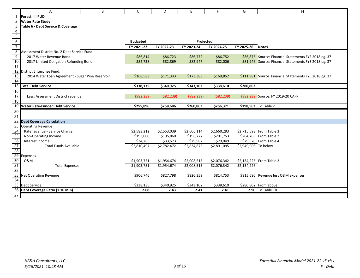|                                                        | Α                                                | B | C               | D           | E            | F.           | G                    | H                                                      |
|--------------------------------------------------------|--------------------------------------------------|---|-----------------|-------------|--------------|--------------|----------------------|--------------------------------------------------------|
|                                                        | <b>Foresthill PUD</b>                            |   |                 |             |              |              |                      |                                                        |
| $\overline{c}$                                         | <b>Water Rate Study</b>                          |   |                 |             |              |              |                      |                                                        |
| $\overline{3}$                                         | Table 6 - Debt Service & Coverage                |   |                 |             |              |              |                      |                                                        |
|                                                        |                                                  |   |                 |             |              |              |                      |                                                        |
| $\begin{array}{r} 4 \\ 5 \\ \hline 6 \\ 7 \end{array}$ |                                                  |   |                 |             |              |              |                      |                                                        |
|                                                        |                                                  |   | <b>Budgeted</b> |             | Projected    |              |                      |                                                        |
|                                                        |                                                  |   | FY 2021-22      | FY 2022-23  | FY 2023-24   | FY 2024-25   | FY 2025-26           | <b>Notes</b>                                           |
| $\overline{8}$                                         | Assessment District No. 2 Debt Service Fund      |   |                 |             |              |              |                      |                                                        |
| $\overline{9}$                                         | 2017 Water Revenue Bond                          |   | \$86,814        | \$86,723    | \$86,772     | \$86,752     |                      | \$86,876 Source: Financial Statements FYE 2018 pg. 37  |
| $\frac{10}{11}$                                        | 2017 Limited Obligation Refunding Bond           |   | \$82,738        | \$82,869    | \$82,947     | \$82,006     |                      | \$81,946 Source: Financial Statements FYE 2018 pg. 37  |
|                                                        |                                                  |   |                 |             |              |              |                      |                                                        |
| 12                                                     | District Enterprise Fund:                        |   |                 |             |              |              |                      |                                                        |
| 13                                                     | 2014 Water Loan Agreement - Sugar Pine Reservoir |   | \$168,583       | \$171,333   | \$173,383    | \$169,852    |                      | \$111,981 Source: Financial Statements FYE 2018 pg. 37 |
| 14                                                     |                                                  |   |                 |             |              |              |                      |                                                        |
|                                                        | 15 Total Debt Service                            |   | \$338,135       | \$340,925   | \$343,102    | \$338,610    | \$280,802            |                                                        |
| 16                                                     |                                                  |   |                 |             |              |              |                      |                                                        |
| 17                                                     | Less: Assessment District revenue                |   | ( \$82, 239)    | (582, 239)  | ( \$82, 239) | ( \$82, 239) |                      | (\$82,239) Source: FY 2019-20 CAFR                     |
| 18                                                     |                                                  |   |                 |             |              |              |                      |                                                        |
|                                                        | 19 Water Rate-Funded Debt Service                |   | \$255,896       | \$258,686   | \$260,863    | \$256,371    |                      | \$198,563 To Table 2                                   |
| $\frac{20}{21}$                                        |                                                  |   |                 |             |              |              |                      |                                                        |
|                                                        |                                                  |   |                 |             |              |              |                      |                                                        |
|                                                        | 22 Debt Coverage Calculation                     |   |                 |             |              |              |                      |                                                        |
| 23                                                     | <b>Operating Revenue</b>                         |   |                 |             |              |              |                      |                                                        |
|                                                        | Rate revenue - Service Charge                    |   | \$2,583,212     | \$2,553,039 | \$2,606,114  | \$2,660,293  |                      | \$2,715,598 From Table 3                               |
|                                                        | Non-Operating Income                             |   | \$193,000       | \$195,860   | \$198,777    | \$201,753    |                      | \$204,788 From Table 2                                 |
|                                                        | Interest income                                  |   | \$34,285        | \$33,573    | \$29,982     | \$29,049     |                      | \$29,520 From Table 4                                  |
|                                                        | <b>Total Funds Available</b>                     |   | \$2,810,497     | \$2,782,472 | \$2,834,873  | \$2,891,095  | \$2,949,906 To below |                                                        |
|                                                        |                                                  |   |                 |             |              |              |                      |                                                        |
|                                                        | Expenses<br>0&M                                  |   |                 |             |              |              |                      |                                                        |
|                                                        |                                                  |   | \$1,903,751     | \$1,954,674 | \$2,008,515  | \$2,076,342  |                      | \$2,134,226 From Table 2                               |
|                                                        | <b>Total Expenses</b>                            |   | \$1,903,751     | \$1,954,674 | \$2,008,515  | \$2,076,342  | \$2,134,226          |                                                        |
|                                                        | <b>Net Operating Revenue</b>                     |   | \$906,746       | \$827,798   | \$826,359    | \$814,753    |                      | \$815,680 Revenue less O&M expenses                    |
| 34                                                     |                                                  |   |                 |             |              |              |                      |                                                        |
|                                                        | 35 Debt Service                                  |   | \$338,135       | \$340,925   | \$343,102    | \$338,610    |                      | \$280,802 From above                                   |
|                                                        | 36 Debt Coverage Ratio (1.10 Min)                |   | 2.68            | 2.43        | 2.41         | 2.41         |                      | 2.90 To Table 1B                                       |
|                                                        |                                                  |   |                 |             |              |              |                      |                                                        |
| 37                                                     |                                                  |   |                 |             |              |              |                      |                                                        |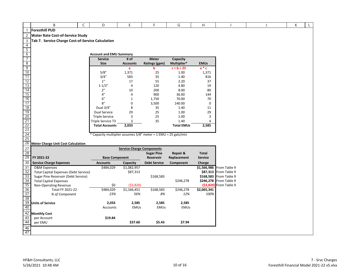|                                                                                                                 | B                                                      | C | D                                                              | E                                | F.                  | G                 | H                 |                                                  | J | К | L |
|-----------------------------------------------------------------------------------------------------------------|--------------------------------------------------------|---|----------------------------------------------------------------|----------------------------------|---------------------|-------------------|-------------------|--------------------------------------------------|---|---|---|
| $\mathbf{1}$                                                                                                    | <b>Foresthill PUD</b>                                  |   |                                                                |                                  |                     |                   |                   |                                                  |   |   |   |
| $\overline{c}$                                                                                                  | <b>Water Rate Cost-of-Service Study</b>                |   |                                                                |                                  |                     |                   |                   |                                                  |   |   |   |
| $\mathsf{3}$                                                                                                    | Tab 7. Service Charge Cost-of-Service Calculation      |   |                                                                |                                  |                     |                   |                   |                                                  |   |   |   |
| $\overline{4}$                                                                                                  |                                                        |   |                                                                |                                  |                     |                   |                   |                                                  |   |   |   |
| $\overline{5}$                                                                                                  |                                                        |   |                                                                |                                  |                     |                   |                   |                                                  |   |   |   |
| $6\,$                                                                                                           |                                                        |   | <b>Account and EMU Summary</b>                                 |                                  |                     |                   |                   |                                                  |   |   |   |
| $\overline{7}$                                                                                                  |                                                        |   | <b>Service</b>                                                 | # of                             | <b>Meter</b>        | Capacity          |                   |                                                  |   |   |   |
| $\sqrt{8}$                                                                                                      |                                                        |   | <b>Size</b>                                                    | <b>Accounts</b>                  | Ratings (gpm)       | Multiplier*       | <b>EMUs</b>       |                                                  |   |   |   |
| $\frac{9}{10}$                                                                                                  |                                                        |   |                                                                | $\mathbf{a}$                     | b                   | $c = b \div 25$   | $a * c$           |                                                  |   |   |   |
|                                                                                                                 |                                                        |   | 5/8"                                                           | 1,371                            | 25                  | 1.00              | 1,371             |                                                  |   |   |   |
|                                                                                                                 |                                                        |   | 3/4"                                                           | 583                              | 35                  | 1.40              | 816               |                                                  |   |   |   |
|                                                                                                                 |                                                        |   | 1"                                                             | 17                               | 55                  | 2.20              | 37                |                                                  |   |   |   |
|                                                                                                                 |                                                        |   | $1 - 1/2"$                                                     | 4                                | 120                 | 4.80              | 19                |                                                  |   |   |   |
|                                                                                                                 |                                                        |   | 2"                                                             | 10                               | 200                 | 8.00              | 80                |                                                  |   |   |   |
|                                                                                                                 |                                                        |   | $4"$                                                           | 4                                | 900                 | 36.00             | 144               |                                                  |   |   |   |
| $\begin{array}{r} 11 \\ 12 \\ 13 \\ 14 \\ 15 \\ 16 \\ 17 \\ 18 \\ 19 \\ 20 \\ 21 \\ 22 \\ 23 \\ 24 \end{array}$ |                                                        |   | 6"<br>8"                                                       | $\mathbf 1$<br>0                 | 1,750<br>3,500      | 70.00             | 70<br>$\mathbf 0$ |                                                  |   |   |   |
|                                                                                                                 |                                                        |   | Dual 3/4"                                                      | 8                                | 35                  | 140.00<br>1.40    | 11                |                                                  |   |   |   |
|                                                                                                                 |                                                        |   | <b>Dual Service</b>                                            | 29                               | 25                  | 1.00              | 29                |                                                  |   |   |   |
|                                                                                                                 |                                                        |   | <b>Triple Service</b>                                          | 3                                | 25                  | 1.00              | 3                 |                                                  |   |   |   |
|                                                                                                                 |                                                        |   | Triple Service T3                                              | 3                                | 35                  | 1.40              | 4                 |                                                  |   |   |   |
|                                                                                                                 |                                                        |   | <b>Total Accounts</b>                                          | 2,033                            |                     | <b>Total EMUs</b> | 2,585             |                                                  |   |   |   |
|                                                                                                                 |                                                        |   |                                                                |                                  |                     |                   |                   |                                                  |   |   |   |
|                                                                                                                 |                                                        |   | * Capacity multiplier assumes 5/8" meter = 1 EMU = 25 gals/min |                                  |                     |                   |                   |                                                  |   |   |   |
| 25                                                                                                              |                                                        |   |                                                                |                                  |                     |                   |                   |                                                  |   |   |   |
| 26                                                                                                              | <b>Meter Charge Unit Cost Calculation</b>              |   |                                                                |                                  |                     |                   |                   |                                                  |   |   |   |
| 27                                                                                                              |                                                        |   |                                                                | <b>Service Charge Components</b> |                     |                   |                   |                                                  |   |   |   |
| 28                                                                                                              |                                                        |   |                                                                |                                  | <b>Sugar Pine</b>   | Repair &          | <b>Total</b>      |                                                  |   |   |   |
| 29                                                                                                              | FY 2021-22                                             |   | <b>Base Component</b>                                          |                                  | Reservoir           | Replacement       | <b>Service</b>    |                                                  |   |   |   |
| 30                                                                                                              | <b>Service Charge Expenses</b>                         |   | <b>Accounts</b>                                                | Capacity                         | <b>Debt Service</b> | Component         | Charge            |                                                  |   |   |   |
| 31                                                                                                              | <b>O&amp;M</b> Expenses                                |   | \$484,029                                                      | \$1,082,957                      |                     |                   |                   | \$1,566,986 From Table 9                         |   |   |   |
| 32                                                                                                              | <b>Total Capital Expenses (Debt Service)</b>           |   |                                                                | \$87,313                         |                     |                   |                   | \$87,313 From Table 9                            |   |   |   |
| 33<br>34                                                                                                        | Sugar Pine Reservoir (Debt Service)                    |   |                                                                |                                  | \$168,583           | \$246,278         |                   | \$168,583 From Table 9<br>\$246,278 From Table 9 |   |   |   |
| 35                                                                                                              | <b>Total Capital Expenses</b><br>Non-Operating Revenue |   | \$0                                                            | ( \$3,820)                       |                     |                   |                   | (\$3,820) From Table 9                           |   |   |   |
| 36                                                                                                              | Total FY 2021-22                                       |   | \$484,029                                                      | $\overline{$1,166,451}$          | \$168,583           | \$246,278         | \$2,065,341       |                                                  |   |   |   |
| 37                                                                                                              | % of Component                                         |   | 23%                                                            | 56%                              | 8%                  | 12%               | 100%              |                                                  |   |   |   |
| 38                                                                                                              |                                                        |   |                                                                |                                  |                     |                   |                   |                                                  |   |   |   |
| 39                                                                                                              | <b>Units of Service</b>                                |   | 2,033                                                          | 2,585                            | 2,585               | 2,585             |                   |                                                  |   |   |   |
| $\frac{40}{11}$                                                                                                 |                                                        |   | Accounts                                                       | EMUs                             | <b>EMUs</b>         | <b>EMUs</b>       |                   |                                                  |   |   |   |
| 42                                                                                                              | <b>Monthly Cost</b>                                    |   |                                                                |                                  |                     |                   |                   |                                                  |   |   |   |
| 43                                                                                                              | per Account                                            |   | \$19.84                                                        |                                  |                     |                   |                   |                                                  |   |   |   |
| 44                                                                                                              | per EMU                                                |   |                                                                | \$37.60                          | \$5.43              | \$7.94            |                   |                                                  |   |   |   |
| 46                                                                                                              |                                                        |   |                                                                |                                  |                     |                   |                   |                                                  |   |   |   |
| 47                                                                                                              |                                                        |   |                                                                |                                  |                     |                   |                   |                                                  |   |   |   |
|                                                                                                                 |                                                        |   |                                                                |                                  |                     |                   |                   |                                                  |   |   |   |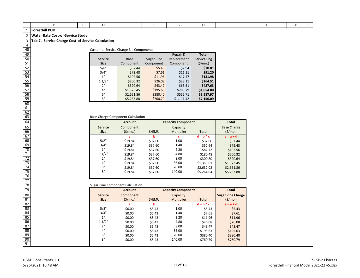1 **Foresthill PUD**

2 **Water Rate Cost‐of‐Service Study**

| <b>Customer Service Charge Bill Components</b> |            |            |             |                    |
|------------------------------------------------|------------|------------|-------------|--------------------|
|                                                |            |            | Repair &    | Total              |
| <b>Service</b>                                 | Base       | Sugar Pine | Replacement | <b>Service Chg</b> |
| <b>Size</b>                                    | Component  | Component  | Component   | (S/mol)            |
| 5/8"                                           | \$57.44    | \$5.43     | \$7.94      | \$70.81            |
| 3/4"                                           | \$72.48    | \$7.61     | \$11.11     | \$91.20            |
| 1"                                             | \$102.56   | \$11.96    | \$17.47     | \$131.98           |
| 11/2"                                          | \$200.32   | \$26.08    | \$38.11     | \$264.51           |
| 2"                                             | \$320.64   | \$43.47    | \$63.51     | \$427.63           |
| 4"                                             | \$1,373.45 | \$195.63   | \$285.79    | \$1,854.88         |
| 6"                                             | \$2,651.86 | \$380.40   | \$555.71    | \$3,587.97         |
| 8"                                             | \$5,283.88 | \$760.79   | \$1.111.42  | \$7,156.09         |

#### Base Charge Component Calculation

|                               | <b>Account</b>       |         | <b>Capacity Component</b> |             | <b>Total</b>                  |
|-------------------------------|----------------------|---------|---------------------------|-------------|-------------------------------|
| <b>Service</b><br><b>Size</b> | Component<br>(S/mol) | \$/EMU  | Capacity<br>Multiplier    | Total       | <b>Base Charge</b><br>(S/mol) |
|                               | a                    | b       | c                         | $d = b * c$ | $e = a + d$                   |
| 5/8"                          | \$19.84              | \$37.60 | 1.00                      | \$37.60     | \$57.44                       |
| 3/4"                          | \$19.84              | \$37.60 | 1.40                      | \$52.64     | \$72.48                       |
| 1"                            | \$19.84              | \$37.60 | 2.20                      | \$82.72     | \$102.56                      |
| 11/2"                         | \$19.84              | \$37.60 | 4.80                      | \$180.48    | \$200.32                      |
| 2"                            | \$19.84              | \$37.60 | 8.00                      | \$300.80    | \$320.64                      |
| 4"                            | \$19.84              | \$37.60 | 36.00                     | \$1,353.61  | \$1,373.45                    |
| 6"                            | \$19.84              | \$37.60 | 70.00                     | \$2,632.02  | \$2,651.86                    |
| 8"                            | \$19.84              | \$37.60 | 140.00                    | \$5.264.04  | \$5,283.88                    |
|                               |                      |         |                           |             |                               |

#### Sugar Pine Component Calculation

|                | <b>Account</b>   |        | <b>Capacity Component</b> |             | <b>Total</b>             |
|----------------|------------------|--------|---------------------------|-------------|--------------------------|
| <b>Service</b> | <b>Component</b> |        | Capacity                  |             | <b>Sugar Pine Charge</b> |
| <b>Size</b>    | (S/mol)          | \$/EMU | <b>Multiplier</b>         | Total       | (S/mol)                  |
|                | a                | b      | c                         | $d = b * c$ | $e = a + d$              |
| 5/8"           | \$0.00           | \$5.43 | 1.00                      | \$5.43      | \$5.43                   |
| 3/4"           | \$0.00           | \$5.43 | 1.40                      | \$7.61      | \$7.61                   |
| 1"             | \$0.00           | \$5.43 | 2.20                      | \$11.96     | \$11.96                  |
| 11/2"          | \$0.00           | \$5.43 | 4.80                      | \$26.08     | \$26.08                  |
| 2"             | \$0.00           | \$5.43 | 8.00                      | \$43.47     | \$43.47                  |
| 4"             | \$0.00           | \$5.43 | 36.00                     | \$195.63    | \$195.63                 |
| 6"             | \$0.00           | \$5.43 | 70.00                     | \$380.40    | \$380.40                 |
| 8"             | \$0.00           | \$5.43 | 140.00                    | \$760.79    | \$760.79                 |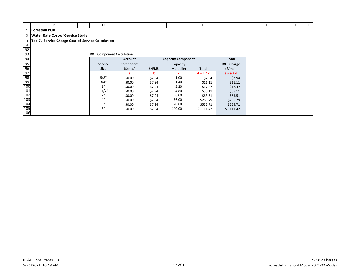|                 | B                                                 | D                                    |                     |        | G                         | H           |                       | К |  |
|-----------------|---------------------------------------------------|--------------------------------------|---------------------|--------|---------------------------|-------------|-----------------------|---|--|
|                 | <b>Foresthill PUD</b>                             |                                      |                     |        |                           |             |                       |   |  |
|                 | 2   Water Rate Cost-of-Service Study              |                                      |                     |        |                           |             |                       |   |  |
| $\overline{3}$  | Tab 7. Service Charge Cost-of-Service Calculation |                                      |                     |        |                           |             |                       |   |  |
| 4               |                                                   |                                      |                     |        |                           |             |                       |   |  |
| $\frac{92}{93}$ |                                                   |                                      |                     |        |                           |             |                       |   |  |
|                 |                                                   | <b>R&amp;R Component Calculation</b> |                     |        |                           |             |                       |   |  |
| 94              |                                                   |                                      | <b>Account</b>      |        | <b>Capacity Component</b> |             | Total                 |   |  |
| $\frac{95}{96}$ |                                                   | Service                              | Component           |        | Capacity                  |             | <b>R&amp;R Charge</b> |   |  |
|                 |                                                   | <b>Size</b>                          | $(\frac{\xi}{m}0.)$ | \$/EMU | Multiplier                | Total       | $(\frac{\xi}{m}0.)$   |   |  |
|                 |                                                   |                                      | a                   | b      |                           | $d = b * c$ | $e = a + d$           |   |  |
|                 |                                                   | 5/8"                                 | \$0.00              | \$7.94 | 1.00                      | \$7.94      | \$7.94                |   |  |
|                 |                                                   | 3/4"                                 | \$0.00              | \$7.94 | 1.40                      | \$11.11     | \$11.11               |   |  |
|                 |                                                   | 1"                                   | \$0.00              | \$7.94 | 2.20                      | \$17.47     | \$17.47               |   |  |
|                 |                                                   | 11/2"                                | \$0.00              | \$7.94 | 4.80                      | \$38.11     | \$38.11               |   |  |
|                 |                                                   | 2"                                   | \$0.00              | \$7.94 | 8.00                      | \$63.51     | \$63.51               |   |  |
|                 |                                                   | 4"                                   | \$0.00              | \$7.94 | 36.00                     | \$285.79    | \$285.79              |   |  |
|                 |                                                   | 6"                                   | \$0.00              | \$7.94 | 70.00                     | \$555.71    | \$555.71              |   |  |
|                 |                                                   | $8"$                                 | \$0.00              | \$7.94 | 140.00                    | \$1,111.42  | \$1,111.42            |   |  |
| 106             |                                                   |                                      |                     |        |                           |             |                       |   |  |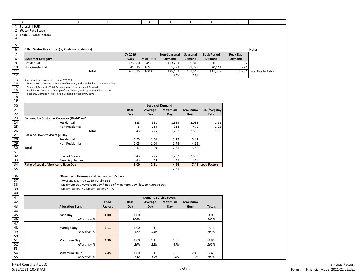|                                                                                 | В | C                                               | D                                                                                                                                   | E              | F           | G          | Н                            |          |                    | К        | L                  |
|---------------------------------------------------------------------------------|---|-------------------------------------------------|-------------------------------------------------------------------------------------------------------------------------------------|----------------|-------------|------------|------------------------------|----------|--------------------|----------|--------------------|
| 1                                                                               |   | <b>Foresthill PUD</b>                           |                                                                                                                                     |                |             |            |                              |          |                    |          |                    |
| 2                                                                               |   | <b>Water Rate Study</b>                         |                                                                                                                                     |                |             |            |                              |          |                    |          |                    |
| 3                                                                               |   | <b>Table 8 - Load Factors</b>                   |                                                                                                                                     |                |             |            |                              |          |                    |          |                    |
| 4                                                                               |   |                                                 |                                                                                                                                     |                |             |            |                              |          |                    |          |                    |
|                                                                                 |   |                                                 |                                                                                                                                     |                |             |            |                              |          |                    |          |                    |
| $\frac{5}{6}$                                                                   |   |                                                 |                                                                                                                                     |                |             |            |                              |          |                    |          |                    |
|                                                                                 |   | Billed Water Use in tGal (by Customer Category) |                                                                                                                                     |                |             |            |                              |          |                    |          | <b>Notes</b>       |
|                                                                                 |   |                                                 |                                                                                                                                     |                | CY 2019     |            | Non-Seasonal                 | Seasonal | <b>Peak Period</b> | Peak Day |                    |
|                                                                                 |   | <b>Customer Category</b>                        |                                                                                                                                     |                | tGals       | % of Total | Demand                       | Demand   | Demand             | Demand   |                    |
| $\begin{array}{r} 7 \\ 8 \\ 9 \\ \hline 10 \end{array}$                         |   | Residential                                     |                                                                                                                                     |                | 223,080     | 84%        | 123,261                      | 99,819   | 90,595             | 985      |                    |
|                                                                                 |   | Non-Residential                                 |                                                                                                                                     |                | 41,615      | 16%        | 1,892                        | 39,723   | 20,442             | 222      |                    |
| 11                                                                              |   |                                                 | Total                                                                                                                               |                | 264,695     | 100%       | 125,153                      | 139,543  | 111,037            | 1,207    | Total Use to Tab 9 |
|                                                                                 |   |                                                 |                                                                                                                                     |                |             |            | 47%                          | 53%      |                    |          |                    |
|                                                                                 |   | Source: Actual consumption data - CY 2019       |                                                                                                                                     |                |             |            |                              |          |                    |          |                    |
|                                                                                 |   |                                                 | Non-seasonal Demand = Average of February and March Billed Usage Annualized                                                         |                |             |            |                              |          |                    |          |                    |
|                                                                                 |   |                                                 | Seasonal Demand = Total Demand minus Non-seasonal Demand                                                                            |                |             |            |                              |          |                    |          |                    |
|                                                                                 |   |                                                 | Peak Period Demand = Average of July, August, and September Billed Usage<br>Peak Day Demand = Peak Period Demand divided by 90 days |                |             |            |                              |          |                    |          |                    |
|                                                                                 |   |                                                 |                                                                                                                                     |                |             |            |                              |          |                    |          |                    |
|                                                                                 |   |                                                 |                                                                                                                                     |                |             |            |                              |          |                    |          |                    |
|                                                                                 |   |                                                 |                                                                                                                                     |                |             |            | <b>Levels of Demand</b>      |          |                    |          |                    |
|                                                                                 |   |                                                 |                                                                                                                                     |                | <b>Base</b> | Average    | Maximum                      | Maximum  | Peak/Avg Day       |          |                    |
|                                                                                 |   |                                                 |                                                                                                                                     |                | Day         | Day        | Day                          | Hour     | Ratio              |          |                    |
|                                                                                 |   | Demand by Customer Category (tGal/Day)*         |                                                                                                                                     |                |             |            |                              |          |                    |          |                    |
|                                                                                 |   |                                                 | Residential                                                                                                                         |                | 338         | 611        | 1,389                        | 2,083    | 1.61               |          |                    |
|                                                                                 |   |                                                 | Non-Residential                                                                                                                     |                | 5           | 114        | 313                          | 470      | 1.95               |          |                    |
|                                                                                 |   |                                                 | Total                                                                                                                               |                | 343         | 725        | 1,702                        | 2,553    | 1.66               |          |                    |
|                                                                                 |   | Ratio of Flows to Average Day                   |                                                                                                                                     |                |             |            |                              |          |                    |          |                    |
|                                                                                 |   |                                                 | Residential                                                                                                                         |                | 0.55        | 1.00       | 2.27                         | 3.41     |                    |          |                    |
|                                                                                 |   |                                                 | Non-Residential                                                                                                                     |                | 0.05        | 1.00       | 2.75                         | 4.12     |                    |          |                    |
|                                                                                 |   | <b>Total</b>                                    |                                                                                                                                     |                | 0.47        | 1.00       | 2.35                         | 3.52     |                    |          |                    |
|                                                                                 |   |                                                 |                                                                                                                                     |                |             |            |                              |          |                    |          |                    |
|                                                                                 |   |                                                 | Level of Service                                                                                                                    |                | 343         | 725        | 1,702                        | 2,553    |                    |          |                    |
|                                                                                 |   |                                                 | <b>Base Day Demand</b>                                                                                                              |                | 343         | 343        | 343                          | 343      |                    |          |                    |
|                                                                                 |   | Ratio of Level of Service to Base Day           |                                                                                                                                     |                | 1.00        | 2.11       | 4.96                         |          | 7.45 Load Factors  |          |                    |
|                                                                                 |   |                                                 |                                                                                                                                     |                |             |            | 2.35                         |          |                    |          |                    |
|                                                                                 |   |                                                 |                                                                                                                                     |                |             |            |                              |          |                    |          |                    |
|                                                                                 |   |                                                 | *Base Day = Non-seasonal Demand ÷ 365 days                                                                                          |                |             |            |                              |          |                    |          |                    |
|                                                                                 |   |                                                 | Average Day = $CY$ 2019 Total $\div$ 365                                                                                            |                |             |            |                              |          |                    |          |                    |
|                                                                                 |   |                                                 | Maximum Day = Average Day * Ratio of Maximum Day Flow to Average Day                                                                |                |             |            |                              |          |                    |          |                    |
|                                                                                 |   |                                                 | Maximum Hour = Maximum Day * 1.5                                                                                                    |                |             |            |                              |          |                    |          |                    |
| $\frac{36}{37}$ $\frac{37}{39}$ $\frac{39}{40}$ $\frac{41}{43}$ $\frac{42}{43}$ |   |                                                 |                                                                                                                                     |                |             |            |                              |          |                    |          |                    |
|                                                                                 |   |                                                 |                                                                                                                                     |                |             |            | <b>Demand Service Levels</b> |          |                    |          |                    |
|                                                                                 |   |                                                 |                                                                                                                                     | Load           | <b>Base</b> | Average    | <b>Maximum</b>               | Maximum  |                    |          |                    |
|                                                                                 |   |                                                 | <b>Allocation Basis</b>                                                                                                             | <b>Factors</b> | Day         | Day        | Day                          | Hour     | Totals             |          |                    |
| 44                                                                              |   |                                                 |                                                                                                                                     |                |             |            |                              |          |                    |          |                    |
| 45                                                                              |   |                                                 | <b>Base Day</b>                                                                                                                     | 1.00           | 1.00        |            |                              |          | 1.00               |          |                    |
| 46                                                                              |   |                                                 |                                                                                                                                     |                | 100%        |            |                              |          | 100%               |          |                    |
|                                                                                 |   |                                                 | <b>Allocation %</b>                                                                                                                 |                |             |            |                              |          |                    |          |                    |
|                                                                                 |   |                                                 |                                                                                                                                     |                |             |            |                              |          | 2.11               |          |                    |
|                                                                                 |   |                                                 | <b>Average Day</b>                                                                                                                  | 2.11           | 1.00        | 1.11       |                              |          | 100%               |          |                    |
|                                                                                 |   |                                                 | Allocation %                                                                                                                        |                | 47%         | 53%        |                              |          |                    |          |                    |
|                                                                                 |   |                                                 |                                                                                                                                     |                |             |            | 2.85                         |          |                    |          |                    |
|                                                                                 |   |                                                 | <b>Maximum Day</b>                                                                                                                  | 4.96           | 1.00        | 1.11       |                              |          | 4.96               |          |                    |
| $\frac{47}{48}$ $\frac{49}{50}$ $\frac{51}{52}$ $\frac{52}{53}$ $\frac{54}{55}$ |   |                                                 | <b>Allocation %</b>                                                                                                                 |                | 20%         | 22%        | 57%                          |          | 100%               |          |                    |
|                                                                                 |   |                                                 |                                                                                                                                     |                |             |            |                              |          |                    |          |                    |
|                                                                                 |   |                                                 | <b>Maximum Hour</b>                                                                                                                 | 7.45           | 1.00        | 1.11       | 2.85                         | 2.48     | 7.45               |          |                    |
|                                                                                 |   |                                                 | Allocation %                                                                                                                        |                | 13%         | 15%        | 38%                          | 33%      | 100%               |          |                    |

HF&H Consultants, LLC 5/26/2021 10:48 AM 13 of 16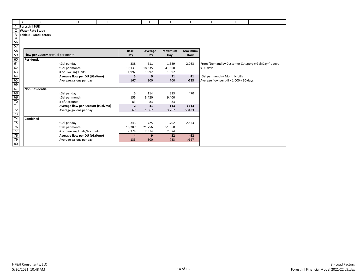|                                                                                                                                 | $\,$ B |                                    | D                                                        | E | F              | G              | Н           |         |                                | К                                            |                                                     |
|---------------------------------------------------------------------------------------------------------------------------------|--------|------------------------------------|----------------------------------------------------------|---|----------------|----------------|-------------|---------|--------------------------------|----------------------------------------------|-----------------------------------------------------|
|                                                                                                                                 |        | <b>Foresthill PUD</b>              |                                                          |   |                |                |             |         |                                |                                              |                                                     |
| 2                                                                                                                               |        | <b>Water Rate Study</b>            |                                                          |   |                |                |             |         |                                |                                              |                                                     |
| $\mathsf{3}$                                                                                                                    |        | Table 8 - Load Factors             |                                                          |   |                |                |             |         |                                |                                              |                                                     |
| $\overline{4}$                                                                                                                  |        |                                    |                                                          |   |                |                |             |         |                                |                                              |                                                     |
|                                                                                                                                 |        |                                    |                                                          |   |                |                |             |         |                                |                                              |                                                     |
| $\frac{56}{57}$<br>$\frac{58}{59}$                                                                                              |        |                                    |                                                          |   | <b>Base</b>    |                | Maximum     | Maximum |                                |                                              |                                                     |
|                                                                                                                                 |        | Flow per Customer (tGal per month) |                                                          |   | Day            | Average<br>Day | Day         | Hour    |                                |                                              |                                                     |
|                                                                                                                                 |        | <b>Residential</b>                 |                                                          |   |                |                |             |         |                                |                                              |                                                     |
| $\begin{array}{r} 60 \\ \hline 61 \\ \hline 62 \\ \hline 63 \\ \hline 64 \\ \hline 65 \\ \hline 66 \\ \hline 67 \\ \end{array}$ |        |                                    | tGal per day                                             |   | 338            | 611            | 1,389       | 2,083   |                                |                                              | From "Demand by Customer Category (tGal/Day)" above |
|                                                                                                                                 |        |                                    | tGal per month                                           |   | 10,131         | 18,335         | 41,660      |         | x 30 days                      |                                              |                                                     |
|                                                                                                                                 |        |                                    | # of Dwelling Units                                      |   | 1,992          | 1,992          | 1,992       |         |                                |                                              |                                                     |
|                                                                                                                                 |        |                                    | Average flow per DU (tGal/mo)                            |   | 5              | 9              | 21          | $>21$   | tGal per month ÷ Monthly bills |                                              |                                                     |
|                                                                                                                                 |        |                                    | Average gallons per day                                  |   | 167            | 300            | 700         | >733    |                                | Average flow per bill x $1,000 \div 30$ days |                                                     |
|                                                                                                                                 |        |                                    |                                                          |   |                |                |             |         |                                |                                              |                                                     |
|                                                                                                                                 |        | <b>Non-Residential</b>             |                                                          |   |                |                |             |         |                                |                                              |                                                     |
|                                                                                                                                 |        |                                    | tGal per day                                             |   | 5              | 114            | 313         | 470     |                                |                                              |                                                     |
|                                                                                                                                 |        |                                    | tGal per month                                           |   | 155            | 3,420          | 9,400       |         |                                |                                              |                                                     |
|                                                                                                                                 |        |                                    | # of Accounts                                            |   | 83             | 83             | 83          |         |                                |                                              |                                                     |
|                                                                                                                                 |        |                                    | Average flow per Account (tGal/mo)                       |   | $\overline{2}$ | 41             | 113         | >113    |                                |                                              |                                                     |
|                                                                                                                                 |        |                                    | Average gallons per day                                  |   | 67             | 1,367          | 3,767       | >3433   |                                |                                              |                                                     |
|                                                                                                                                 |        |                                    |                                                          |   |                |                |             |         |                                |                                              |                                                     |
|                                                                                                                                 |        | Combined                           |                                                          |   |                |                |             |         |                                |                                              |                                                     |
|                                                                                                                                 |        |                                    | tGal per day                                             |   | 343            | 725            | 1,702       | 2,553   |                                |                                              |                                                     |
|                                                                                                                                 |        |                                    | tGal per month                                           |   | 10,287         | 21,756         | 51,060      |         |                                |                                              |                                                     |
|                                                                                                                                 |        |                                    | # of Dwelling Units/Accounts                             |   | 2,374<br>4     | 2,374<br>9     | 2,374<br>22 | $>22$   |                                |                                              |                                                     |
|                                                                                                                                 |        |                                    | Average flow per DU (tGal/mo)<br>Average gallons per day |   | 133            | 300            | 733         | >667    |                                |                                              |                                                     |
|                                                                                                                                 |        |                                    |                                                          |   |                |                |             |         |                                |                                              |                                                     |
|                                                                                                                                 |        |                                    |                                                          |   |                |                |             |         |                                |                                              |                                                     |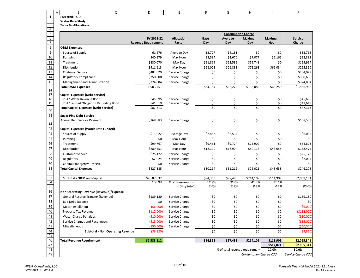|                       | A | B                                                                                      | C                                       | D                          | E                 | F                 | G                         | Н                              | $\mathbf{I}$       | J                    |
|-----------------------|---|----------------------------------------------------------------------------------------|-----------------------------------------|----------------------------|-------------------|-------------------|---------------------------|--------------------------------|--------------------|----------------------|
| $\mathbf{1}$          |   | <b>Foresthill PUD</b>                                                                  |                                         |                            |                   |                   |                           |                                |                    |                      |
| $\overline{c}$        |   | <b>Water Rate Study</b>                                                                |                                         |                            |                   |                   |                           |                                |                    |                      |
| 3<br>4                |   | <b>Table 9 - Allocations</b>                                                           |                                         |                            |                   |                   |                           |                                |                    |                      |
| 5                     |   |                                                                                        |                                         |                            |                   |                   | <b>Consumption Charge</b> |                                |                    |                      |
| $\overline{6}$        |   |                                                                                        |                                         | FY 2021-22                 | <b>Allocation</b> | <b>Base</b>       | Average                   | Maximum                        | Maximum            | <b>Service</b>       |
| $\overline{7}$        |   |                                                                                        |                                         | <b>Revenue Requirement</b> | Factor            | Day               | Day                       | Day                            | Hour               | Charge               |
| 8                     |   | <b>O&amp;M Expenses</b>                                                                |                                         |                            |                   |                   |                           |                                |                    |                      |
| 9                     |   | Source of Supply                                                                       |                                         | 61,676                     | Average Day       | 13,727            | 14,181                    | \$0                            | \$0                | \$33,768             |
| 10                    |   | Pumping                                                                                |                                         | \$40,879                   | Max Hour          | \$2,584           | \$2,670                   | \$7,077                        | \$6,166            | \$22,381             |
| 11                    |   | Treatment                                                                              |                                         | \$230,070                  | Max Day           | \$21,819          | \$22,539                  | \$59,748                       | \$0                | \$125,964            |
| 12                    |   | Distribution                                                                           |                                         | \$411,613                  | Max Hour          | \$26,023          | \$26,883                  | \$71,263                       | \$62,084           | \$225,360            |
| 13                    |   | <b>Customer Service</b>                                                                |                                         | \$484,029                  | Service Charge    | \$0               | \$0                       | \$0                            | \$0                | \$484,029            |
| $\overline{14}$       |   | <b>Regulatory Compliance</b>                                                           |                                         | \$350,600                  | Service Charge    | \$0               | \$0                       | \$0                            | \$0                | \$350,600            |
| 15                    |   | Management and Administration                                                          |                                         | \$324,884                  | Service Charge    | \$0               | \$0                       | \$0                            | \$0                | \$324,884            |
|                       |   | <b>Total O&amp;M Expenses</b>                                                          |                                         | 1,903,751                  |                   | \$64,154          | \$66,273                  | \$138,088                      | \$68,250           | \$1,566,986          |
| 16                    |   |                                                                                        |                                         |                            |                   |                   |                           |                                |                    |                      |
| 17                    |   | <b>Capital Expenses (Debt Service)</b>                                                 |                                         |                            |                   |                   |                           |                                |                    |                      |
| 18<br>19              |   | 2017 Water Revenue Bond                                                                |                                         | \$45,695                   | Service Charge    | \$0<br>\$0        | \$0<br>\$0                | \$0<br>\$0                     | \$0<br>\$0         | \$45,695             |
|                       |   | 2017 Limited Obligation Refunding Bond<br><b>Total Capital Expenses (Debt Service)</b> |                                         | \$41,619<br>\$87,313       | Service Charge    | \$0               | \$0                       | \$0                            | \$0                | \$41,619<br>\$87,313 |
| 20                    |   |                                                                                        |                                         |                            |                   |                   |                           |                                |                    |                      |
| 21                    |   | <b>Sugar Pine Debt Service</b>                                                         |                                         |                            |                   |                   |                           |                                |                    |                      |
|                       |   | Annual Debt Service Payment                                                            |                                         | \$168,583                  | Service Charge    | \$0               | \$0                       | \$0                            | \$0                | \$168,583            |
| 22                    |   |                                                                                        |                                         |                            |                   |                   |                           |                                |                    |                      |
| 23                    |   | <b>Capital Expenses (Water Rate Funded)</b>                                            |                                         |                            |                   |                   |                           |                                |                    |                      |
| 24                    |   | Source of Supply                                                                       |                                         | \$11,022                   | Average Day       | \$2,453           | \$2,534                   | \$0                            | \$0                | \$6,035              |
| 25                    |   | Pumping                                                                                |                                         | \$0                        | Max Hour          | \$0               | \$0                       | \$0                            | \$0                | \$0                  |
| 26                    |   | Treatment                                                                              |                                         | \$99,767                   | Max Day           | \$9,461           | \$9,774                   | \$25,909                       | \$0                | \$54,623             |
| 27                    |   | Distribution                                                                           |                                         | \$289,451                  | Max Hour          | \$18,300          | \$18,904                  | \$50,113                       | \$43,658           | \$158,475            |
| 28                    |   | <b>Customer Service</b>                                                                |                                         | \$25,122                   | Service Charge    | \$0               | \$0                       | \$0                            | \$0                | \$25,122             |
| 29                    |   | Regulatory                                                                             |                                         | \$2,024                    | Service Charge    | \$0               | \$0                       | \$0                            | \$0                | \$2,024              |
| 30                    |   | Capital Emergency Reserve                                                              |                                         | \$0                        | Service Charge    | \$0               | \$0                       | \$0                            | \$0                | \$0                  |
| 31                    |   | <b>Total Capital Expenses</b>                                                          |                                         | \$427,385                  |                   | \$30,214          | \$31,212                  | \$76,021                       | \$43,658           | \$246,278            |
| 32<br>$\overline{33}$ |   |                                                                                        |                                         |                            |                   |                   |                           |                                |                    |                      |
| 34                    |   | Subtotal - O&M and Capital                                                             |                                         | \$2,587,032<br>100.0%      | % of Consumption  | \$94,368<br>18.2% | \$97,485<br>18.8%         | \$214,109<br>41.3%             | \$111,909<br>21.6% | \$2,069,161          |
| 35                    |   |                                                                                        |                                         |                            | % of total        | 3.6%              | 3.8%                      | 8.3%                           | 4.3%               | 80.0%                |
| 36                    |   | Non-Operating Revenue (Revenue)/Expense                                                |                                         |                            |                   |                   |                           |                                |                    |                      |
| 37                    |   | General Reserve Transfer (Revenue)                                                     |                                         | \$189,180                  | Service Charge    | \$0               | \$0                       | \$0                            | \$0                | \$189,180            |
| 38                    |   | <b>Bad Debt Expense</b>                                                                |                                         | \$0                        | Service Charge    | \$0               | \$0                       | \$0                            | \$0                | \$0                  |
| 39                    |   | Meter Installation                                                                     |                                         | ( \$6,000)                 | Service Charge    | \$0               | \$0                       | \$0                            | \$0                | ( \$6,000)           |
| 40                    |   | Property Tax Revenue                                                                   |                                         | ( \$112,000]               | Service Charge    | \$0               | \$0                       | \$0                            | \$0                | (\$112,000)          |
| 41                    |   | <b>Water Charge Penalties</b>                                                          |                                         | (\$10,000)                 | Service Charge    | \$0               | \$0                       | \$0                            | \$0                | (\$10,000)           |
| 42                    |   | Service Charges and Reconnects                                                         |                                         | (\$15,000)                 | Service Charge    | \$0               | \$0                       | \$0                            | \$0                | (\$15,000)           |
| 43                    |   | Miscellaneous                                                                          |                                         | ( \$50,000]                | Service Charge    | \$0               | \$0                       | \$0                            | \$0                | ( \$50,000)          |
| 44                    |   |                                                                                        | <b>Subtotal - Non-Operating Revenue</b> | ( \$3,820)                 |                   | \$0               | \$0                       | \$0                            | \$0                | ( \$3,820)           |
| 45                    |   |                                                                                        |                                         |                            |                   |                   |                           |                                |                    |                      |
| 46                    |   | <b>Total Revenue Requirement</b>                                                       |                                         | \$2,583,212                |                   | \$94,368          | \$97,485                  | \$214,109                      | \$111,909          | \$2,065,341          |
| 47                    |   |                                                                                        |                                         |                            |                   |                   |                           |                                | \$517,871          | \$2,065,341          |
| 48                    |   |                                                                                        |                                         |                            |                   |                   |                           | % of total revenue requirement | 20.0%              | 80.0%                |
| 49                    |   |                                                                                        |                                         |                            |                   |                   |                           | <b>Consumption Charge COS</b>  |                    | Service Charge COS   |

15 of 16